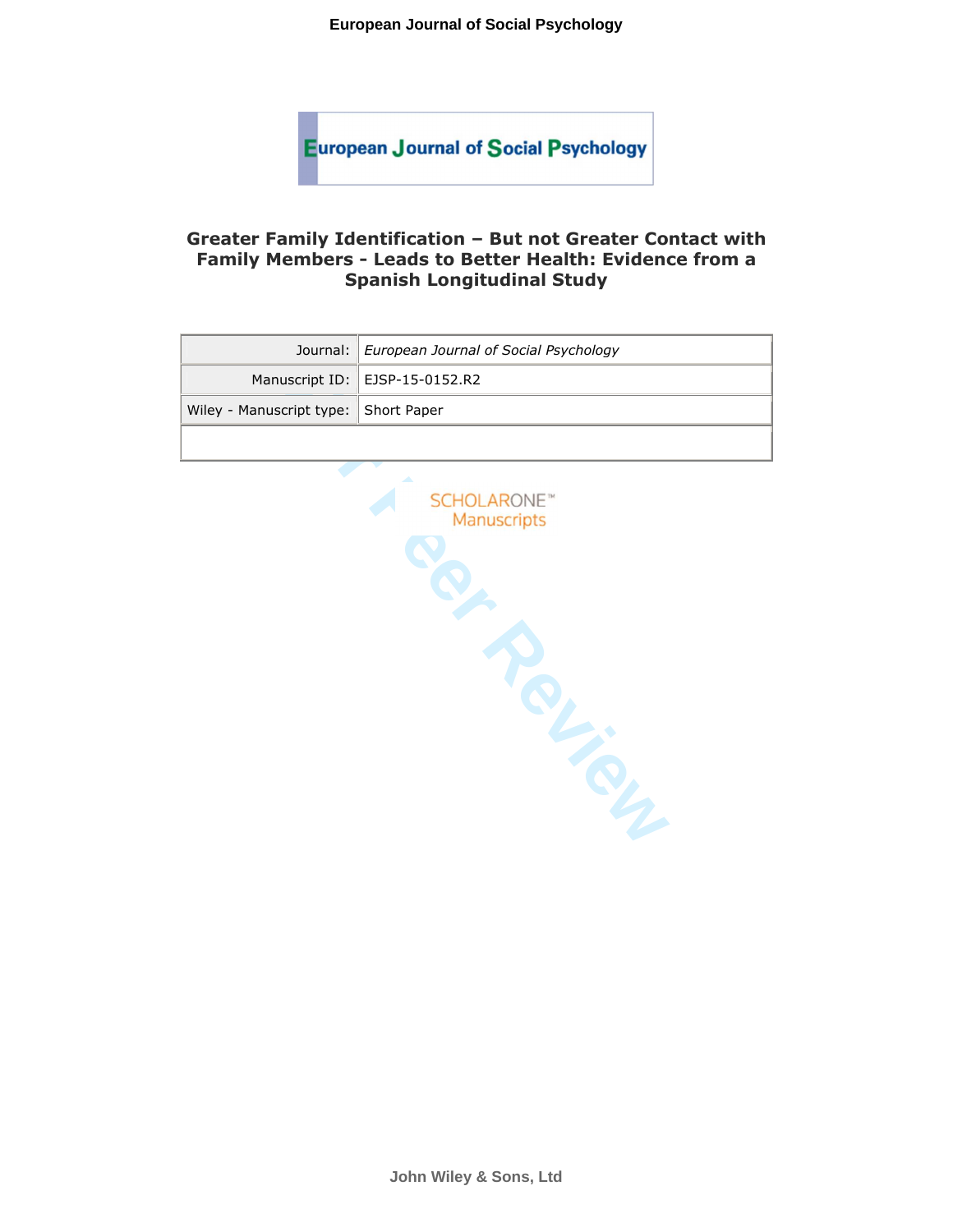# **Greater Family Identification – But not Greater Contact with Family Members - Leads to Better Health: Evidence from a Spanish Longitudinal Study**

|                                      | Journal: European Journal of Social Psychology |  |  |  |  |
|--------------------------------------|------------------------------------------------|--|--|--|--|
|                                      | Manuscript ID:   EJSP-15-0152.R2               |  |  |  |  |
| Wiley - Manuscript type: Short Paper |                                                |  |  |  |  |



**John Wiley & Sons, Ltd**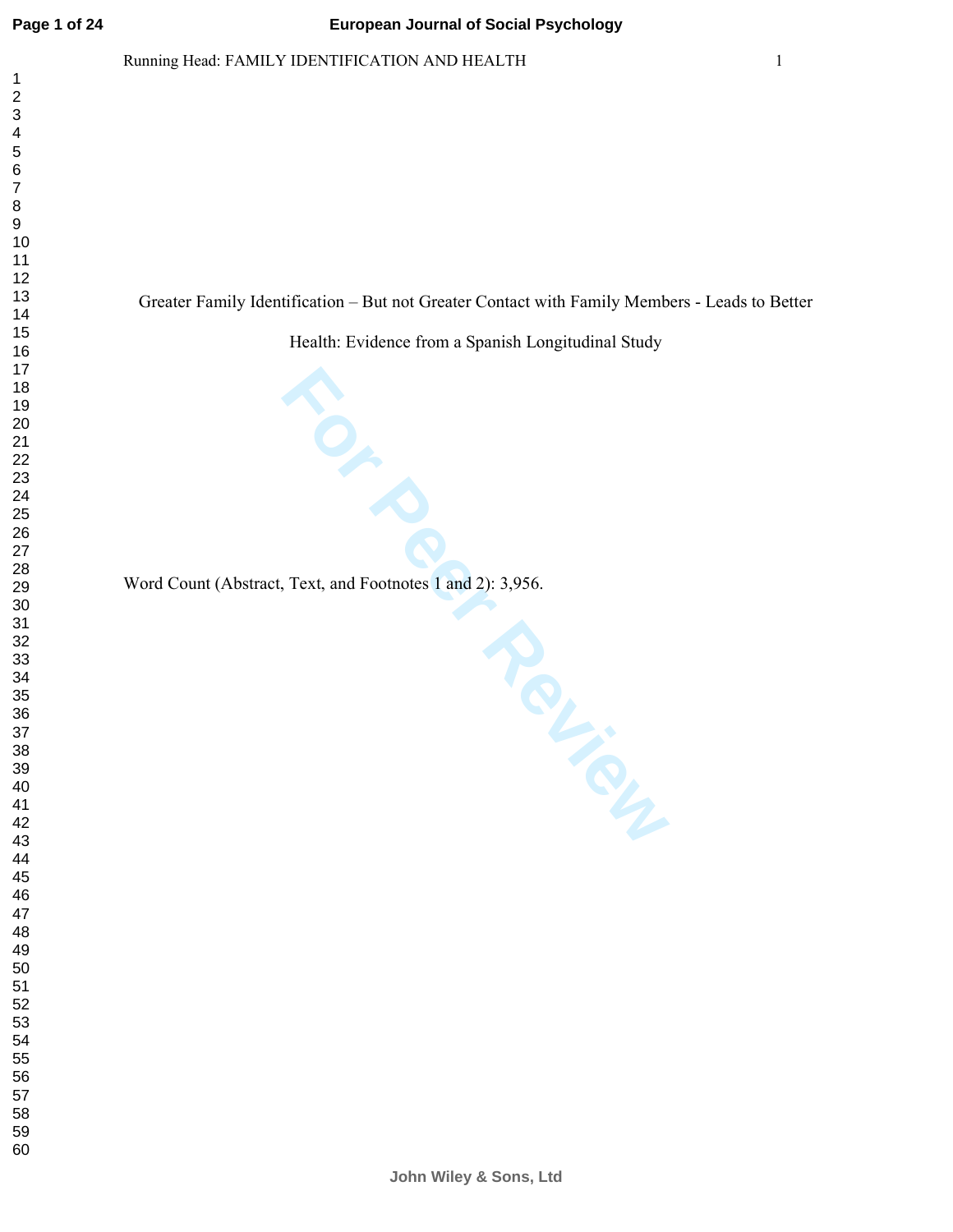$\mathbf{1}$  $\overline{2}$  $\overline{\mathbf{4}}$  $\overline{7}$ 

# Running Head: FAMILY IDENTIFICATION AND HEALTH 1

Greater Family Identification – But not Greater Contact with Family Members - Leads to Better

Health: Evidence from a Spanish Longitudinal Study

**For Peer, Text, and Footnotes 1 and 2): 3,956.** Word Count (Abstract, Text, and Footnotes 1 and 2): 3,956.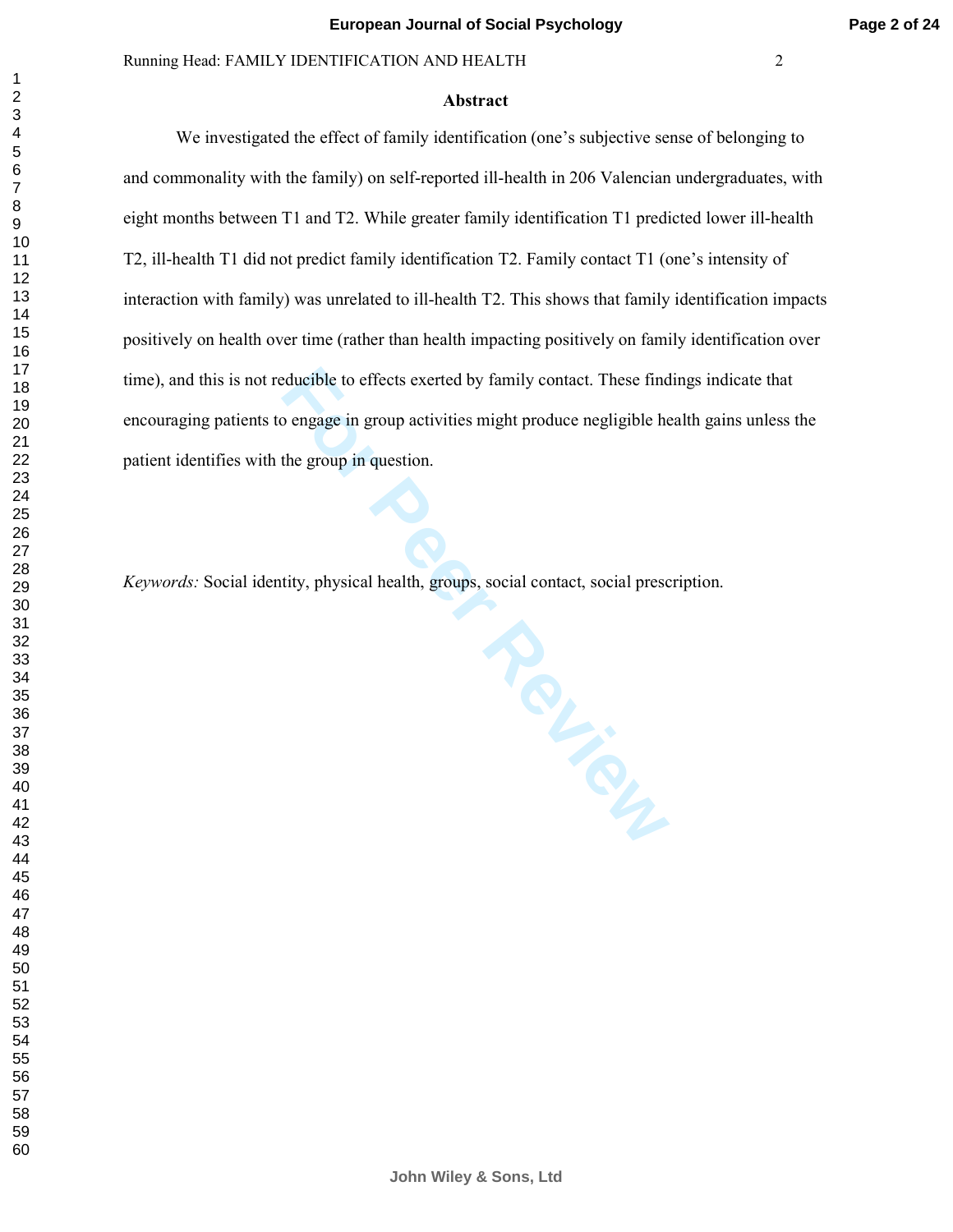#### **Abstract**

We investigated the effect of family identification (one's subjective sense of belonging to and commonality with the family) on self-reported ill-health in 206 Valencian undergraduates, with eight months between T1 and T2. While greater family identification T1 predicted lower ill-health T2, ill-health T1 did not predict family identification T2. Family contact T1 (one's intensity of interaction with family) was unrelated to ill-health T2. This shows that family identification impacts positively on health over time (rather than health impacting positively on family identification over time), and this is not reducible to effects exerted by family contact. These findings indicate that encouraging patients to engage in group activities might produce negligible health gains unless the patient identifies with the group in question.

**For Perry Assessed Contact, Social prescript of Perry Assessed Contact and Social Prescript Contact of Perry Assessed Prescript Contact of Perry Assessed Prescript Contact of Perry Assessed Prescript Contact of Perry Asse** *Keywords:* Social identity, physical health, groups, social contact, social prescription.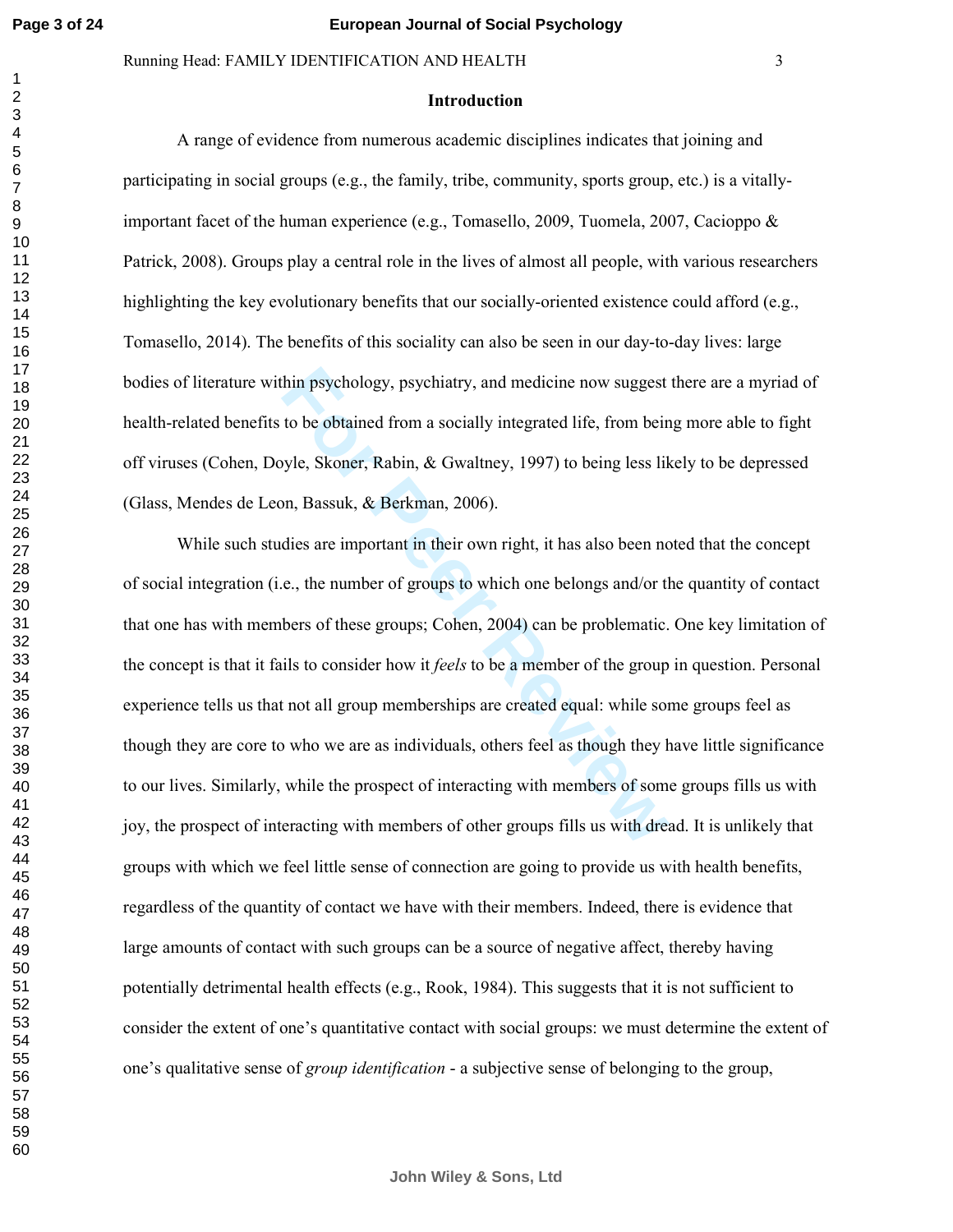# Running Head: FAMILY IDENTIFICATION AND HEALTH 3

#### **Introduction**

A range of evidence from numerous academic disciplines indicates that joining and participating in social groups (e.g., the family, tribe, community, sports group, etc.) is a vitallyimportant facet of the human experience (e.g., Tomasello, 2009, Tuomela, 2007, Cacioppo & Patrick, 2008). Groups play a central role in the lives of almost all people, with various researchers highlighting the key evolutionary benefits that our socially-oriented existence could afford (e.g., Tomasello, 2014). The benefits of this sociality can also be seen in our day-to-day lives: large bodies of literature within psychology, psychiatry, and medicine now suggest there are a myriad of health-related benefits to be obtained from a socially integrated life, from being more able to fight off viruses (Cohen, Doyle, Skoner, Rabin, & Gwaltney, 1997) to being less likely to be depressed (Glass, Mendes de Leon, Bassuk, & Berkman, 2006).

hin psychology, psychiatry, and medicine now suggest<br>to be obtained from a socially integrated life, from bein<br>yle, Skoner, Rabin, & Gwaltney, 1997) to being less lik<br>on, Bassuk, & Berkman, 2006).<br>dies are important in the While such studies are important in their own right, it has also been noted that the concept of social integration (i.e., the number of groups to which one belongs and/or the quantity of contact that one has with members of these groups; Cohen, 2004) can be problematic. One key limitation of the concept is that it fails to consider how it *feels* to be a member of the group in question. Personal experience tells us that not all group memberships are created equal: while some groups feel as though they are core to who we are as individuals, others feel as though they have little significance to our lives. Similarly, while the prospect of interacting with members of some groups fills us with joy, the prospect of interacting with members of other groups fills us with dread. It is unlikely that groups with which we feel little sense of connection are going to provide us with health benefits, regardless of the quantity of contact we have with their members. Indeed, there is evidence that large amounts of contact with such groups can be a source of negative affect, thereby having potentially detrimental health effects (e.g., Rook, 1984). This suggests that it is not sufficient to consider the extent of one's quantitative contact with social groups: we must determine the extent of one's qualitative sense of *group identification* - a subjective sense of belonging to the group,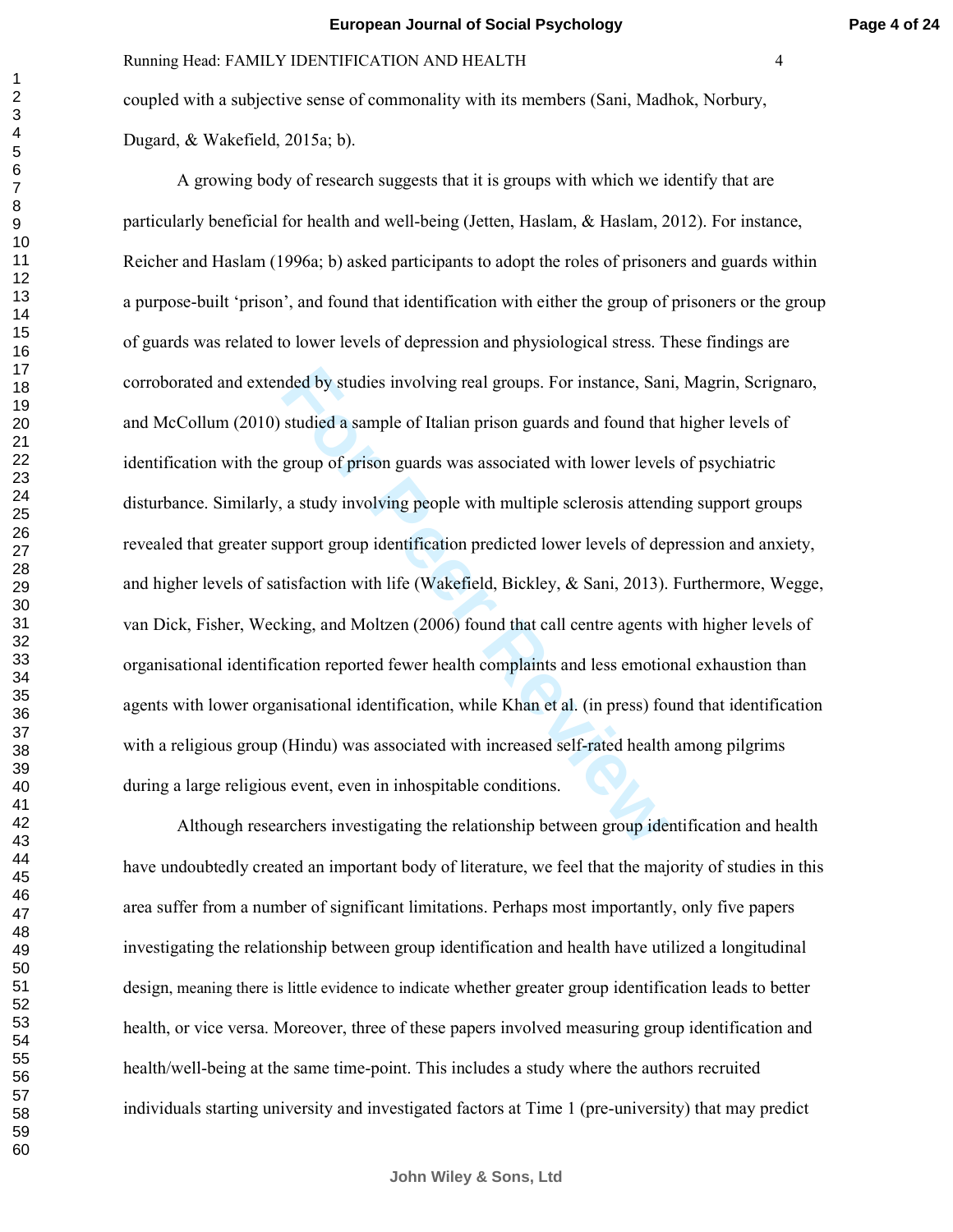**Page 4 of 24**

coupled with a subjective sense of commonality with its members (Sani, Madhok, Norbury, Dugard, & Wakefield, 2015a; b).

nded by studies involving real groups. For instance, San studied a sample of Italian prison guards and found tha group of prison guards was associated with lower levels a study involving people with multiple sclerosis atte A growing body of research suggests that it is groups with which we identify that are particularly beneficial for health and well-being (Jetten, Haslam, & Haslam, 2012). For instance, Reicher and Haslam (1996a; b) asked participants to adopt the roles of prisoners and guards within a purpose-built 'prison', and found that identification with either the group of prisoners or the group of guards was related to lower levels of depression and physiological stress. These findings are corroborated and extended by studies involving real groups. For instance, Sani, Magrin, Scrignaro, and McCollum (2010) studied a sample of Italian prison guards and found that higher levels of identification with the group of prison guards was associated with lower levels of psychiatric disturbance. Similarly, a study involving people with multiple sclerosis attending support groups revealed that greater support group identification predicted lower levels of depression and anxiety, and higher levels of satisfaction with life (Wakefield, Bickley, & Sani, 2013). Furthermore, Wegge, van Dick, Fisher, Wecking, and Moltzen (2006) found that call centre agents with higher levels of organisational identification reported fewer health complaints and less emotional exhaustion than agents with lower organisational identification, while Khan et al. (in press) found that identification with a religious group (Hindu) was associated with increased self-rated health among pilgrims during a large religious event, even in inhospitable conditions.

Although researchers investigating the relationship between group identification and health have undoubtedly created an important body of literature, we feel that the majority of studies in this area suffer from a number of significant limitations. Perhaps most importantly, only five papers investigating the relationship between group identification and health have utilized a longitudinal design, meaning there is little evidence to indicate whether greater group identification leads to better health, or vice versa. Moreover, three of these papers involved measuring group identification and health/well-being at the same time-point. This includes a study where the authors recruited individuals starting university and investigated factors at Time 1 (pre-university) that may predict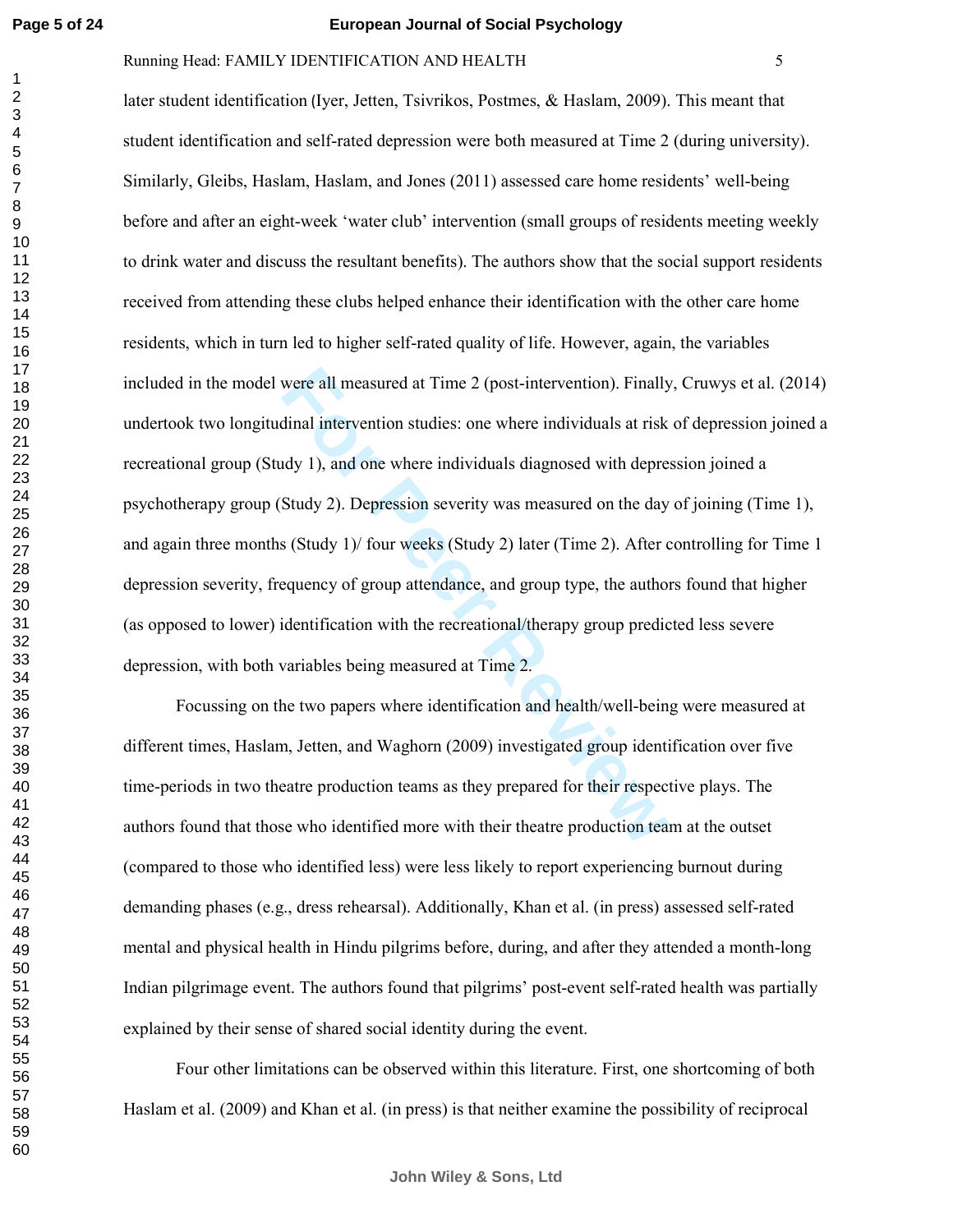# Running Head: FAMILY IDENTIFICATION AND HEALTH 5

were all measured at Time 2 (post-intervention). Finally dinal intervention studies: one where individuals at risk<br>ddy 1), and one where individuals diagnosed with depre<br>Study 2). Depression severity was measured on the da later student identification (Iyer, Jetten, Tsivrikos, Postmes, & Haslam, 2009). This meant that student identification and self-rated depression were both measured at Time 2 (during university). Similarly, Gleibs, Haslam, Haslam, and Jones (2011) assessed care home residents' well-being before and after an eight-week 'water club' intervention (small groups of residents meeting weekly to drink water and discuss the resultant benefits). The authors show that the social support residents received from attending these clubs helped enhance their identification with the other care home residents, which in turn led to higher self-rated quality of life. However, again, the variables included in the model were all measured at Time 2 (post-intervention). Finally, Cruwys et al. (2014) undertook two longitudinal intervention studies: one where individuals at risk of depression joined a recreational group (Study 1), and one where individuals diagnosed with depression joined a psychotherapy group (Study 2). Depression severity was measured on the day of joining (Time 1), and again three months (Study 1)/ four weeks (Study 2) later (Time 2). After controlling for Time 1 depression severity, frequency of group attendance, and group type, the authors found that higher (as opposed to lower) identification with the recreational/therapy group predicted less severe depression, with both variables being measured at Time 2.

Focussing on the two papers where identification and health/well-being were measured at different times, Haslam, Jetten, and Waghorn (2009) investigated group identification over five time-periods in two theatre production teams as they prepared for their respective plays. The authors found that those who identified more with their theatre production team at the outset (compared to those who identified less) were less likely to report experiencing burnout during demanding phases (e.g., dress rehearsal). Additionally, Khan et al. (in press) assessed self-rated mental and physical health in Hindu pilgrims before, during, and after they attended a month-long Indian pilgrimage event. The authors found that pilgrims' post-event self-rated health was partially explained by their sense of shared social identity during the event.

 Four other limitations can be observed within this literature. First, one shortcoming of both Haslam et al. (2009) and Khan et al. (in press) is that neither examine the possibility of reciprocal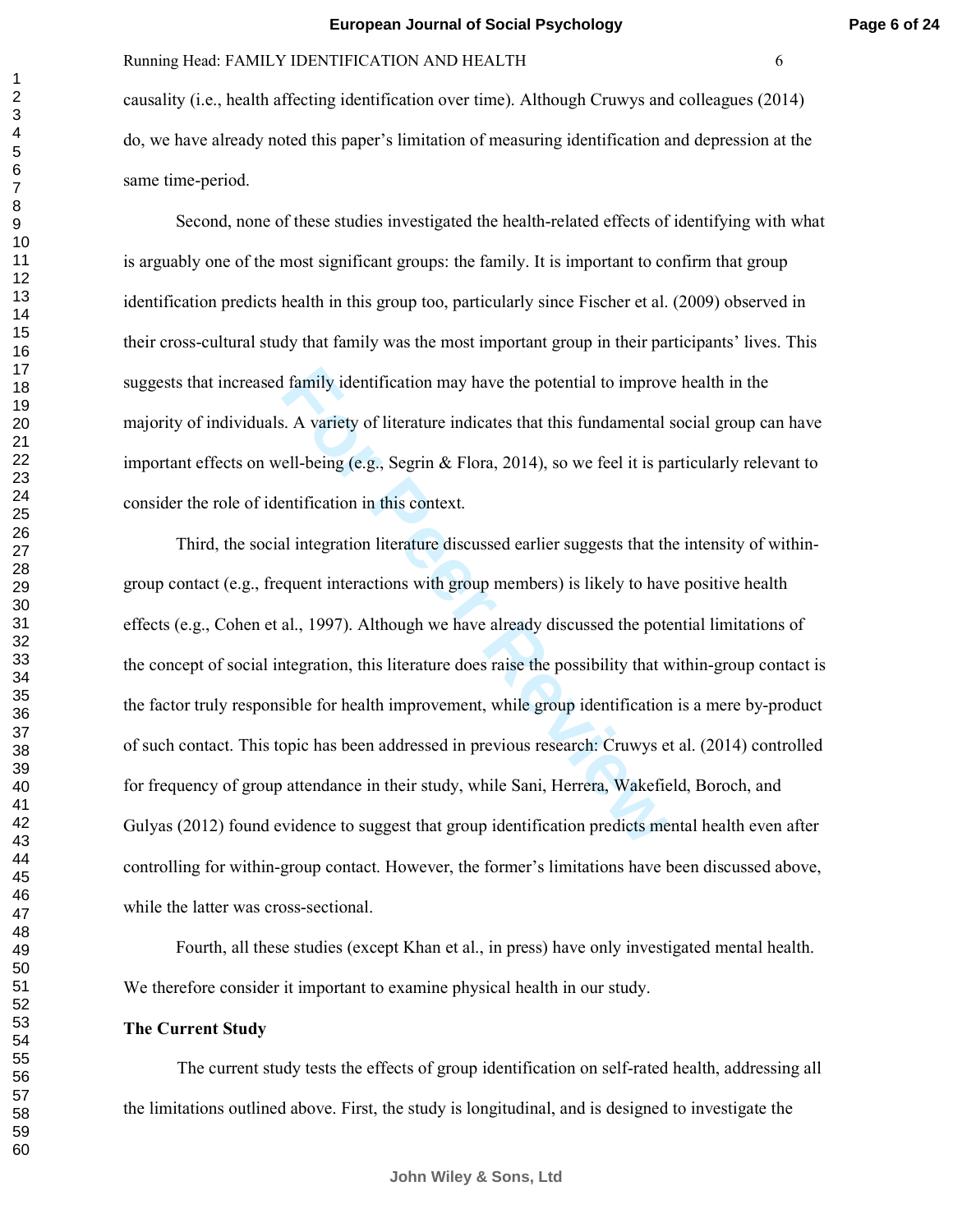causality (i.e., health affecting identification over time). Although Cruwys and colleagues (2014) do, we have already noted this paper's limitation of measuring identification and depression at the same time-period.

 Second, none of these studies investigated the health-related effects of identifying with what is arguably one of the most significant groups: the family. It is important to confirm that group identification predicts health in this group too, particularly since Fischer et al. (2009) observed in their cross-cultural study that family was the most important group in their participants' lives. This suggests that increased family identification may have the potential to improve health in the majority of individuals. A variety of literature indicates that this fundamental social group can have important effects on well-being (e.g., Segrin & Flora, 2014), so we feel it is particularly relevant to consider the role of identification in this context.

I family identification may have the potential to improve<br>
F. A variety of literature indicates that this fundamental<br>
ell-being (e.g., Segrin & Flora, 2014), so we feel it is pa<br>
entification in this context.<br>
Il integrat Third, the social integration literature discussed earlier suggests that the intensity of withingroup contact (e.g., frequent interactions with group members) is likely to have positive health effects (e.g., Cohen et al., 1997). Although we have already discussed the potential limitations of the concept of social integration, this literature does raise the possibility that within-group contact is the factor truly responsible for health improvement, while group identification is a mere by-product of such contact. This topic has been addressed in previous research: Cruwys et al. (2014) controlled for frequency of group attendance in their study, while Sani, Herrera, Wakefield, Boroch, and Gulyas (2012) found evidence to suggest that group identification predicts mental health even after controlling for within-group contact. However, the former's limitations have been discussed above, while the latter was cross-sectional.

Fourth, all these studies (except Khan et al., in press) have only investigated mental health. We therefore consider it important to examine physical health in our study.

# **The Current Study**

The current study tests the effects of group identification on self-rated health, addressing all the limitations outlined above. First, the study is longitudinal, and is designed to investigate the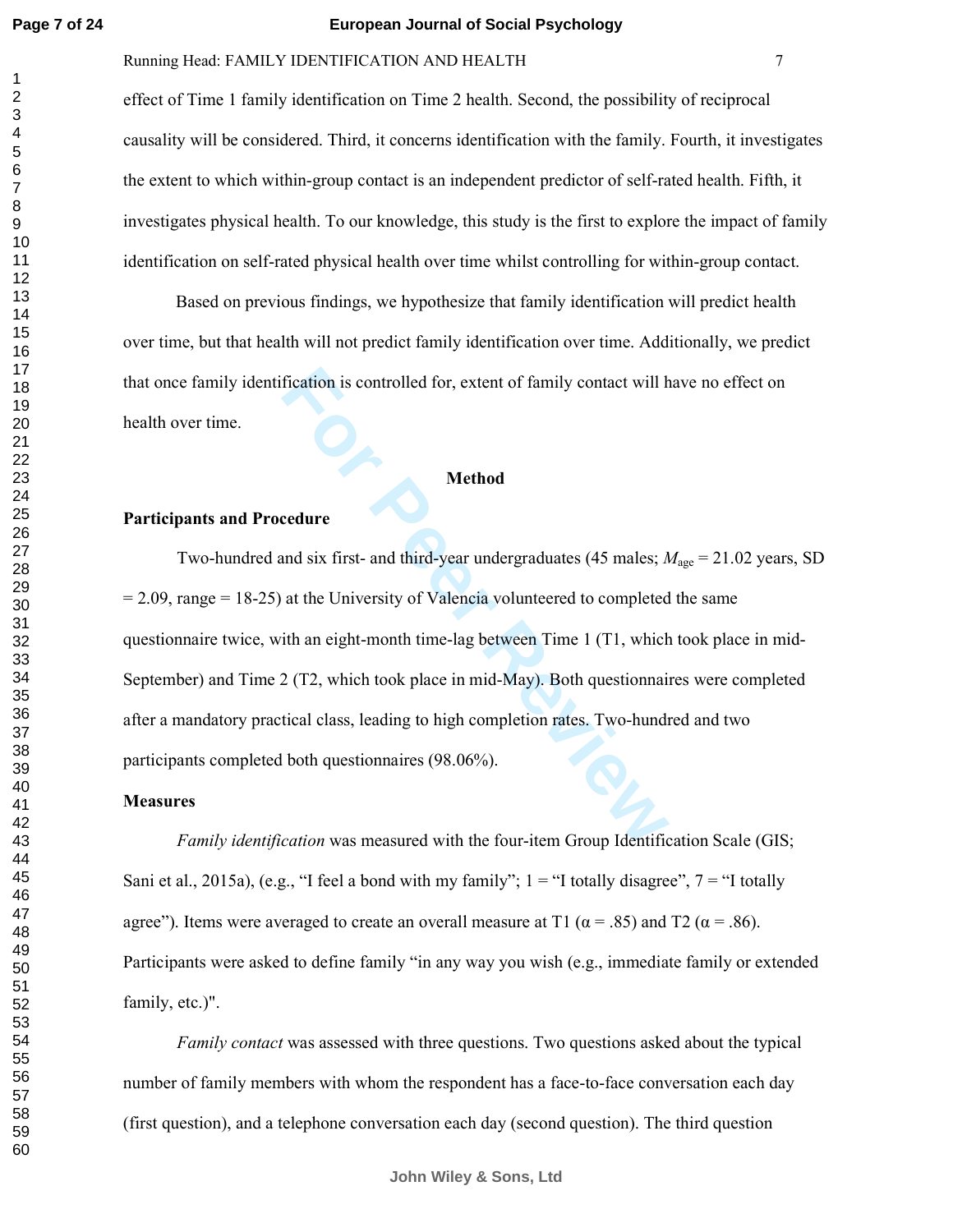# Running Head: FAMILY IDENTIFICATION AND HEALTH 7

effect of Time 1 family identification on Time 2 health. Second, the possibility of reciprocal causality will be considered. Third, it concerns identification with the family. Fourth, it investigates the extent to which within-group contact is an independent predictor of self-rated health. Fifth, it investigates physical health. To our knowledge, this study is the first to explore the impact of family identification on self-rated physical health over time whilst controlling for within-group contact.

Based on previous findings, we hypothesize that family identification will predict health over time, but that health will not predict family identification over time. Additionally, we predict that once family identification is controlled for, extent of family contact will have no effect on health over time.

# **Method**

# **Participants and Procedure**

fication is controlled for, extent of family contact will h<br> **Method**<br> **Method**<br> **Method**<br> **Method**<br> **Method**<br> **Method**<br> **Method**<br> **Method**<br> **Reviewalded**<br> **For Peer Reviewalded**<br> **For Peer Reviewalded**<br> **For Peer Reviewal** Two-hundred and six first- and third-year undergraduates (45 males;  $M_{\text{age}} = 21.02$  years, SD  $= 2.09$ , range  $= 18-25$ ) at the University of Valencia volunteered to completed the same questionnaire twice, with an eight-month time-lag between Time 1 (T1, which took place in mid-September) and Time 2 (T2, which took place in mid-May). Both questionnaires were completed after a mandatory practical class, leading to high completion rates. Two-hundred and two participants completed both questionnaires (98.06%).

## **Measures**

*Family identification* was measured with the four-item Group Identification Scale (GIS; Sani et al., 2015a), (e.g., "I feel a bond with my family";  $1 =$  "I totally disagree",  $7 =$  "I totally agree"). Items were averaged to create an overall measure at T1 ( $\alpha$  = .85) and T2 ( $\alpha$  = .86). Participants were asked to define family "in any way you wish (e.g., immediate family or extended family, etc.)".

*Family contact* was assessed with three questions. Two questions asked about the typical number of family members with whom the respondent has a face-to-face conversation each day (first question), and a telephone conversation each day (second question). The third question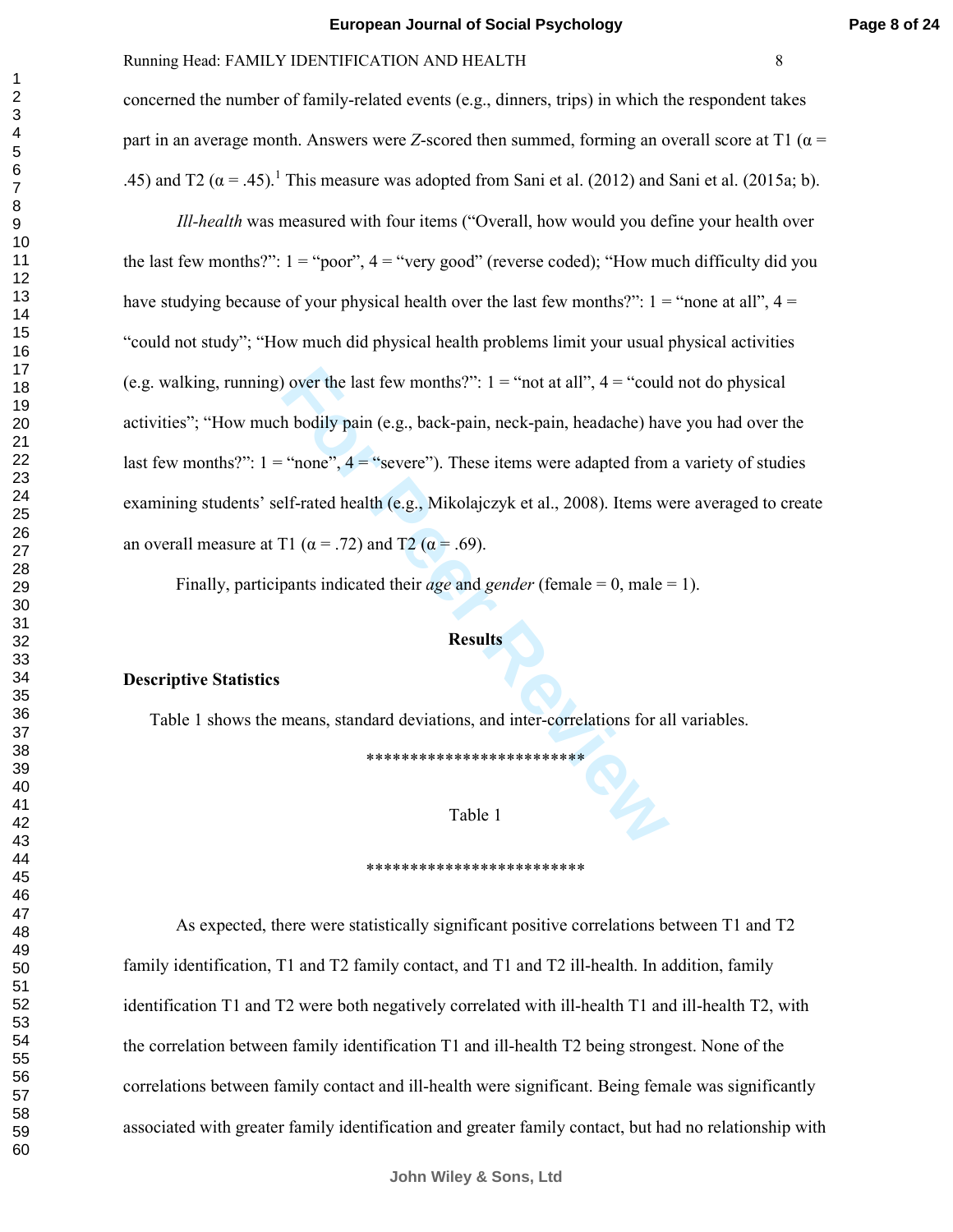concerned the number of family-related events (e.g., dinners, trips) in which the respondent takes part in an average month. Answers were *Z*-scored then summed, forming an overall score at T1 ( $\alpha$  = .45) and T2 ( $\alpha$  = .45).<sup>1</sup> This measure was adopted from Sani et al. (2012) and Sani et al. (2015a; b).

**For Peer Review** *Ill-health* was measured with four items ("Overall, how would you define your health over the last few months?":  $1 =$  "poor",  $4 =$  "very good" (reverse coded); "How much difficulty did you have studying because of your physical health over the last few months?":  $1 =$ "none at all",  $4 =$ "could not study"; "How much did physical health problems limit your usual physical activities (e.g. walking, running) over the last few months?":  $1 = \text{``not at all''}, 4 = \text{``could not do physical''}$ activities"; "How much bodily pain (e.g., back-pain, neck-pain, headache) have you had over the last few months?":  $1 =$  "none",  $4 =$  "severe"). These items were adapted from a variety of studies examining students' self-rated health (e.g., Mikolajczyk et al., 2008). Items were averaged to create an overall measure at T1 ( $\alpha$  = .72) and T2 ( $\alpha$  = .69).

Finally, participants indicated their *age* and *gender* (female = 0, male = 1).

#### **Results**

#### **Descriptive Statistics**

Table 1 shows the means, standard deviations, and inter-correlations for all variables.

\*\*\*\*\*\*\*\*\*\*\*\*\*\*\*\*\*\*\*\*\*\*\*\*\*

### Table 1

#### \*\*\*\*\*\*\*\*\*\*\*\*\*\*\*\*\*\*\*\*\*\*\*\*\*

As expected, there were statistically significant positive correlations between T1 and T2 family identification, T1 and T2 family contact, and T1 and T2 ill-health. In addition, family identification T1 and T2 were both negatively correlated with ill-health T1 and ill-health T2, with the correlation between family identification T1 and ill-health T2 being strongest. None of the correlations between family contact and ill-health were significant. Being female was significantly associated with greater family identification and greater family contact, but had no relationship with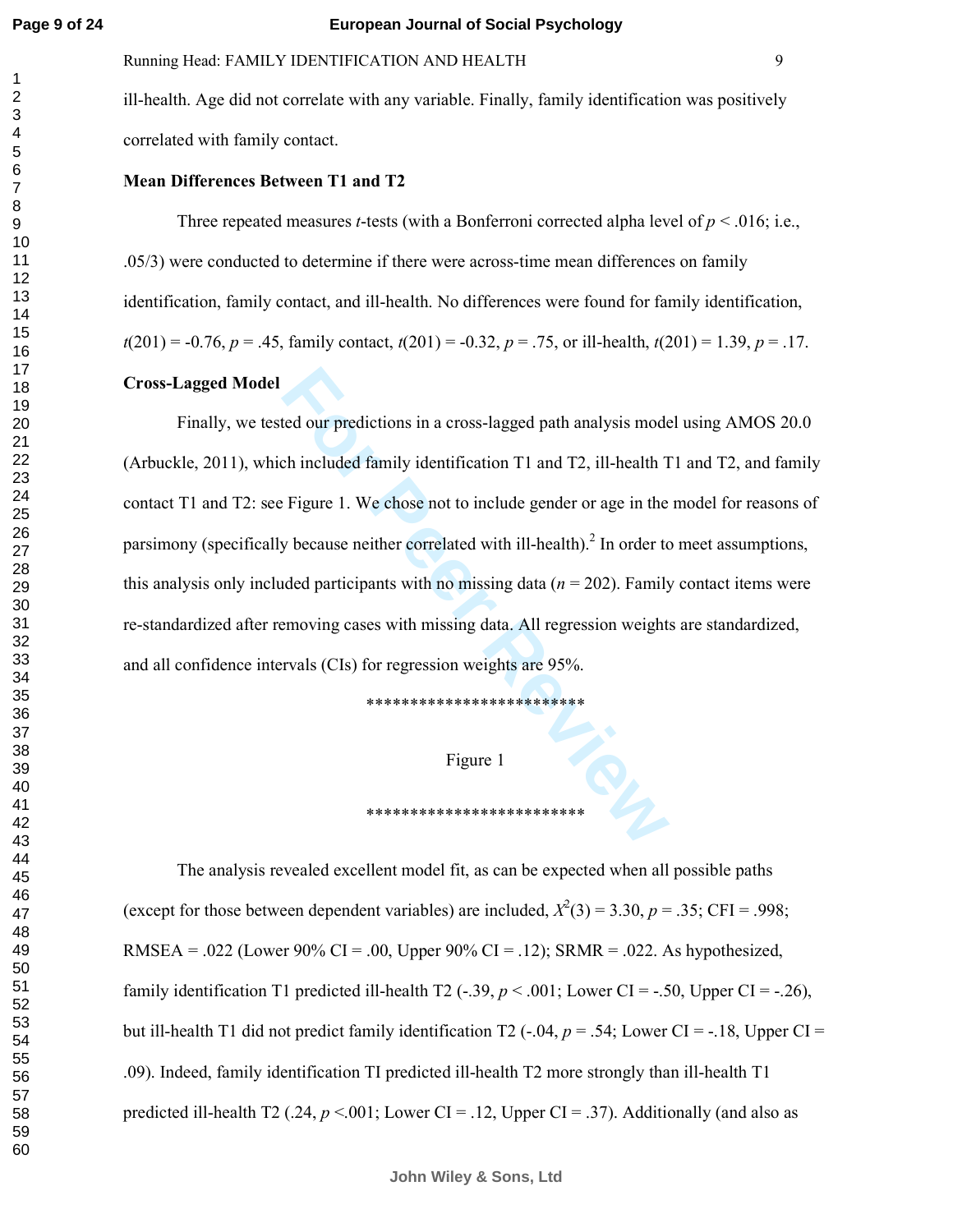# Running Head: FAMILY IDENTIFICATION AND HEALTH 9

ill-health. Age did not correlate with any variable. Finally, family identification was positively correlated with family contact.

#### **Mean Differences Between T1 and T2**

Three repeated measures *t*-tests (with a Bonferroni corrected alpha level of  $p < .016$ ; i.e., .05/3) were conducted to determine if there were across-time mean differences on family identification, family contact, and ill-health. No differences were found for family identification,  $t(201) = -0.76$ ,  $p = .45$ , family contact,  $t(201) = -0.32$ ,  $p = .75$ , or ill-health,  $t(201) = 1.39$ ,  $p = .17$ .

# **Cross-Lagged Model**

from the dour predictions in a cross-lagged path analysis mode<br>
ch included family identification T1 and T2, ill-health T<br> **Figure 1.** We chose not to include gender or age in the<br>
y because neither correlated with ill-he Finally, we tested our predictions in a cross-lagged path analysis model using AMOS 20.0 (Arbuckle, 2011), which included family identification T1 and T2, ill-health T1 and T2, and family contact T1 and T2: see Figure 1. We chose not to include gender or age in the model for reasons of parsimony (specifically because neither correlated with ill-health).<sup>2</sup> In order to meet assumptions, this analysis only included participants with no missing data  $(n = 202)$ . Family contact items were re-standardized after removing cases with missing data. All regression weights are standardized, and all confidence intervals (CIs) for regression weights are 95%.

\*\*\*\*\*\*\*\*\*\*\*\*\*\*\*\*\*\*\*\*\*\*\*\*\*

# Figure 1

\*\*\*\*\*\*\*\*\*\*\*\*\*\*\*\*\*\*\*\*\*\*\*\*\*

# The analysis revealed excellent model fit, as can be expected when all possible paths (except for those between dependent variables) are included,  $X^2(3) = 3.30$ ,  $p = .35$ ; CFI = .998; RMSEA = .022 (Lower 90% CI = .00, Upper 90% CI = .12); SRMR = .022. As hypothesized, family identification T1 predicted ill-health T2  $(-.39, p < .001$ ; Lower CI = -.50, Upper CI = -.26), but ill-health T1 did not predict family identification T2  $(-.04, p = .54;$  Lower CI =  $-.18$ , Upper CI = .09). Indeed, family identification TI predicted ill-health T2 more strongly than ill-health T1 predicted ill-health T2 ( $.24, p \le 001$ ; Lower CI = .12, Upper CI = .37). Additionally (and also as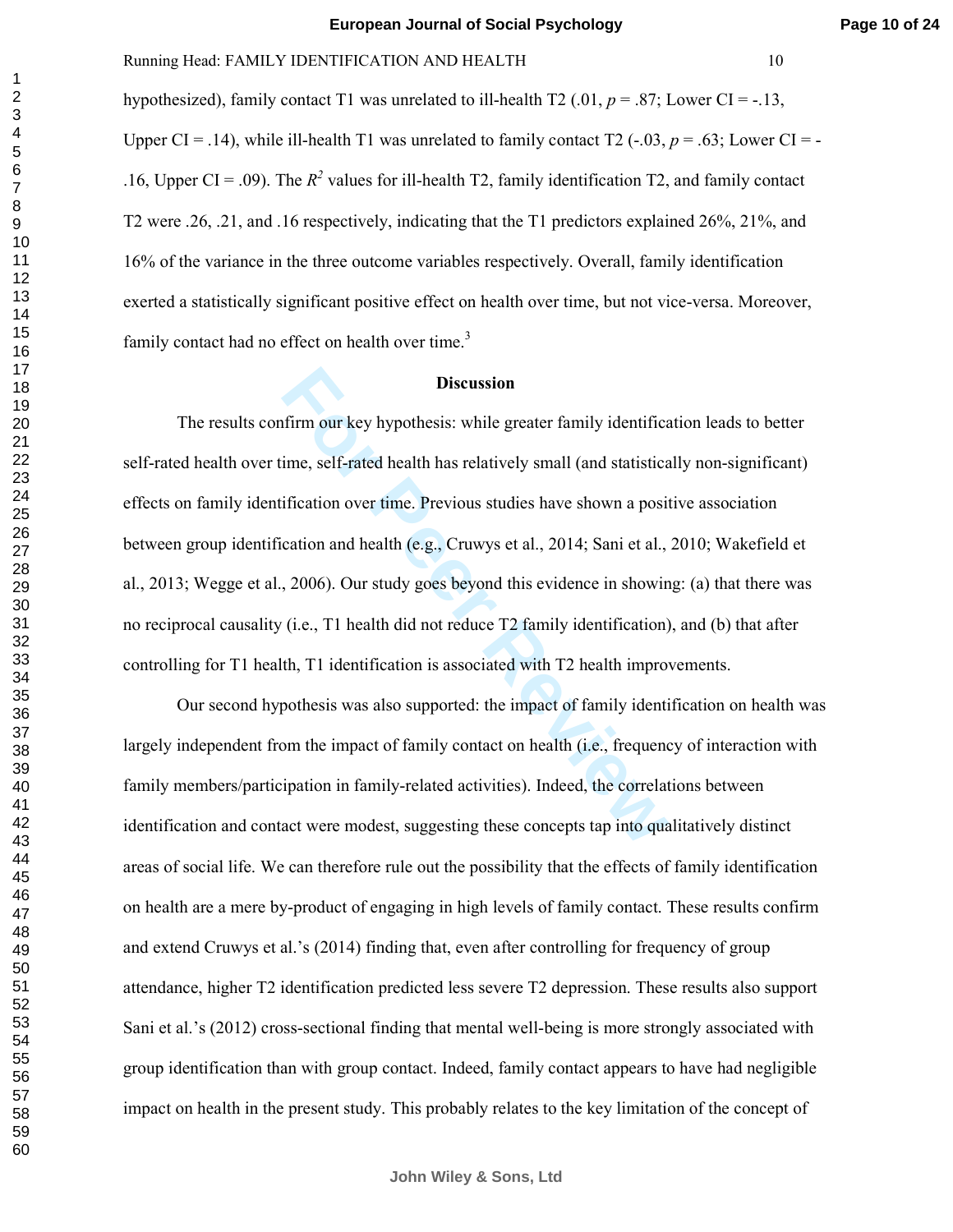**Page 10 of 24**

hypothesized), family contact T1 was unrelated to ill-health T2  $(0.01, p = .87;$  Lower CI = -.13, Upper CI = .14), while ill-health T1 was unrelated to family contact T2  $(-.03, p = .63;$  Lower CI = -.16, Upper CI = .09). The  $R^2$  values for ill-health T2, family identification T2, and family contact T2 were .26, .21, and .16 respectively, indicating that the T1 predictors explained 26%, 21%, and 16% of the variance in the three outcome variables respectively. Overall, family identification exerted a statistically significant positive effect on health over time, but not vice-versa. Moreover, family contact had no effect on health over time.<sup>3</sup>

#### **Discussion**

**Example 16 B Discussion**<br>
firm our key hypothesis: while greater family identifica<br>
ime, self-rated health has relatively small (and statistica<br>
ification over time. Previous studies have shown a posit<br>
cation and health The results confirm our key hypothesis: while greater family identification leads to better self-rated health over time, self-rated health has relatively small (and statistically non-significant) effects on family identification over time. Previous studies have shown a positive association between group identification and health (e.g., Cruwys et al., 2014; Sani et al., 2010; Wakefield et al., 2013; Wegge et al., 2006). Our study goes beyond this evidence in showing: (a) that there was no reciprocal causality (i.e., T1 health did not reduce T2 family identification), and (b) that after controlling for T1 health, T1 identification is associated with T2 health improvements.

Our second hypothesis was also supported: the impact of family identification on health was largely independent from the impact of family contact on health (i.e., frequency of interaction with family members/participation in family-related activities). Indeed, the correlations between identification and contact were modest, suggesting these concepts tap into qualitatively distinct areas of social life. We can therefore rule out the possibility that the effects of family identification on health are a mere by-product of engaging in high levels of family contact. These results confirm and extend Cruwys et al.'s (2014) finding that, even after controlling for frequency of group attendance, higher T2 identification predicted less severe T2 depression. These results also support Sani et al.'s (2012) cross-sectional finding that mental well-being is more strongly associated with group identification than with group contact. Indeed, family contact appears to have had negligible impact on health in the present study. This probably relates to the key limitation of the concept of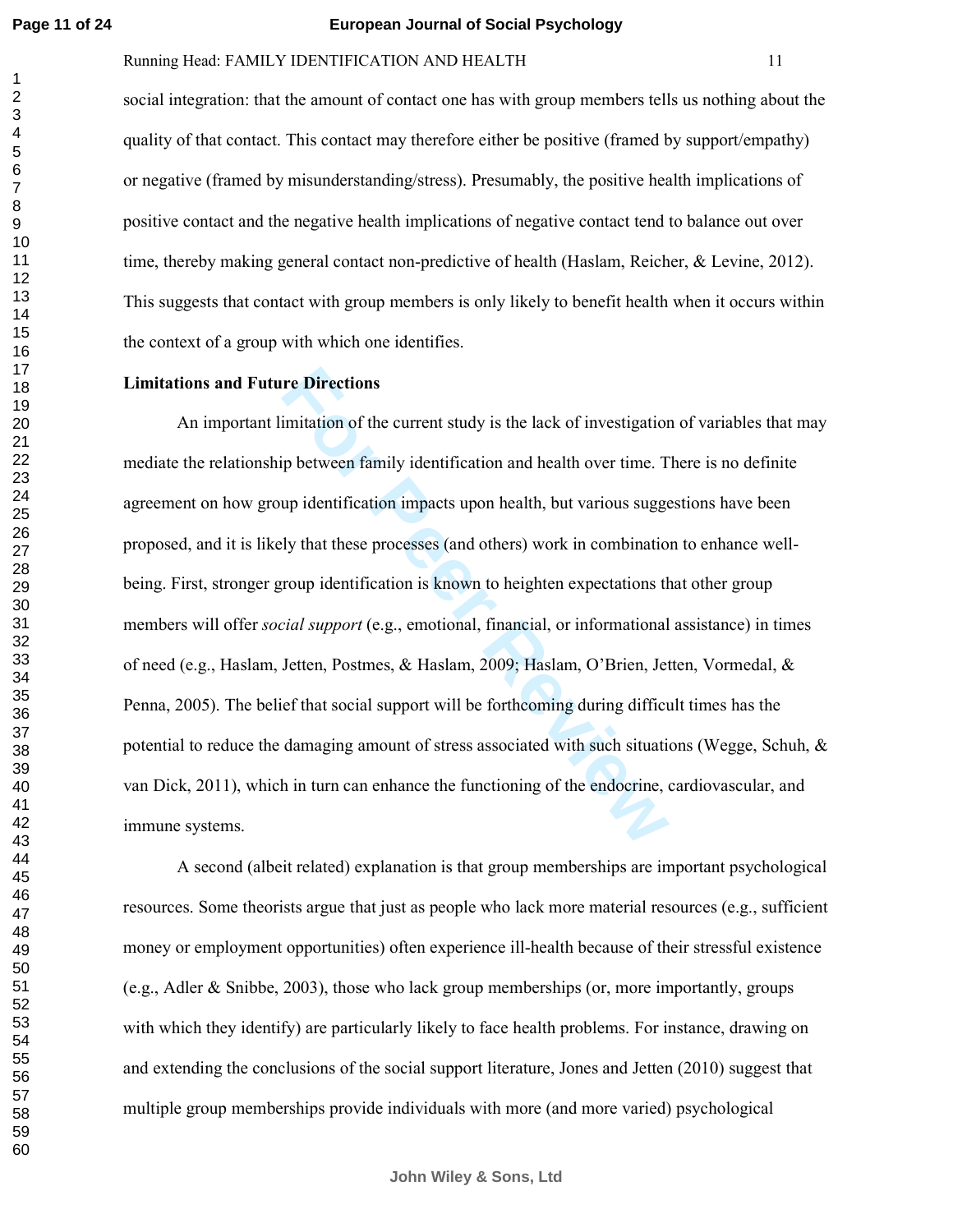# Running Head: FAMILY IDENTIFICATION AND HEALTH 11

social integration: that the amount of contact one has with group members tells us nothing about the quality of that contact. This contact may therefore either be positive (framed by support/empathy) or negative (framed by misunderstanding/stress). Presumably, the positive health implications of positive contact and the negative health implications of negative contact tend to balance out over time, thereby making general contact non-predictive of health (Haslam, Reicher, & Levine, 2012). This suggests that contact with group members is only likely to benefit health when it occurs within the context of a group with which one identifies.

#### **Limitations and Future Directions**

**Follow Example 15 For Perront Study is the lack of investigation** in intuition of the current study is the lack of investigation p between family identification and health over time. They dentification impacts upon health An important limitation of the current study is the lack of investigation of variables that may mediate the relationship between family identification and health over time. There is no definite agreement on how group identification impacts upon health, but various suggestions have been proposed, and it is likely that these processes (and others) work in combination to enhance wellbeing. First, stronger group identification is known to heighten expectations that other group members will offer *social support* (e.g., emotional, financial, or informational assistance) in times of need (e.g., Haslam, Jetten, Postmes, & Haslam, 2009; Haslam, O'Brien, Jetten, Vormedal, & Penna, 2005). The belief that social support will be forthcoming during difficult times has the potential to reduce the damaging amount of stress associated with such situations (Wegge, Schuh,  $\&$ van Dick, 2011), which in turn can enhance the functioning of the endocrine, cardiovascular, and immune systems.

A second (albeit related) explanation is that group memberships are important psychological resources. Some theorists argue that just as people who lack more material resources (e.g., sufficient money or employment opportunities) often experience ill-health because of their stressful existence (e.g., Adler & Snibbe, 2003), those who lack group memberships (or, more importantly, groups with which they identify) are particularly likely to face health problems. For instance, drawing on and extending the conclusions of the social support literature, Jones and Jetten (2010) suggest that multiple group memberships provide individuals with more (and more varied) psychological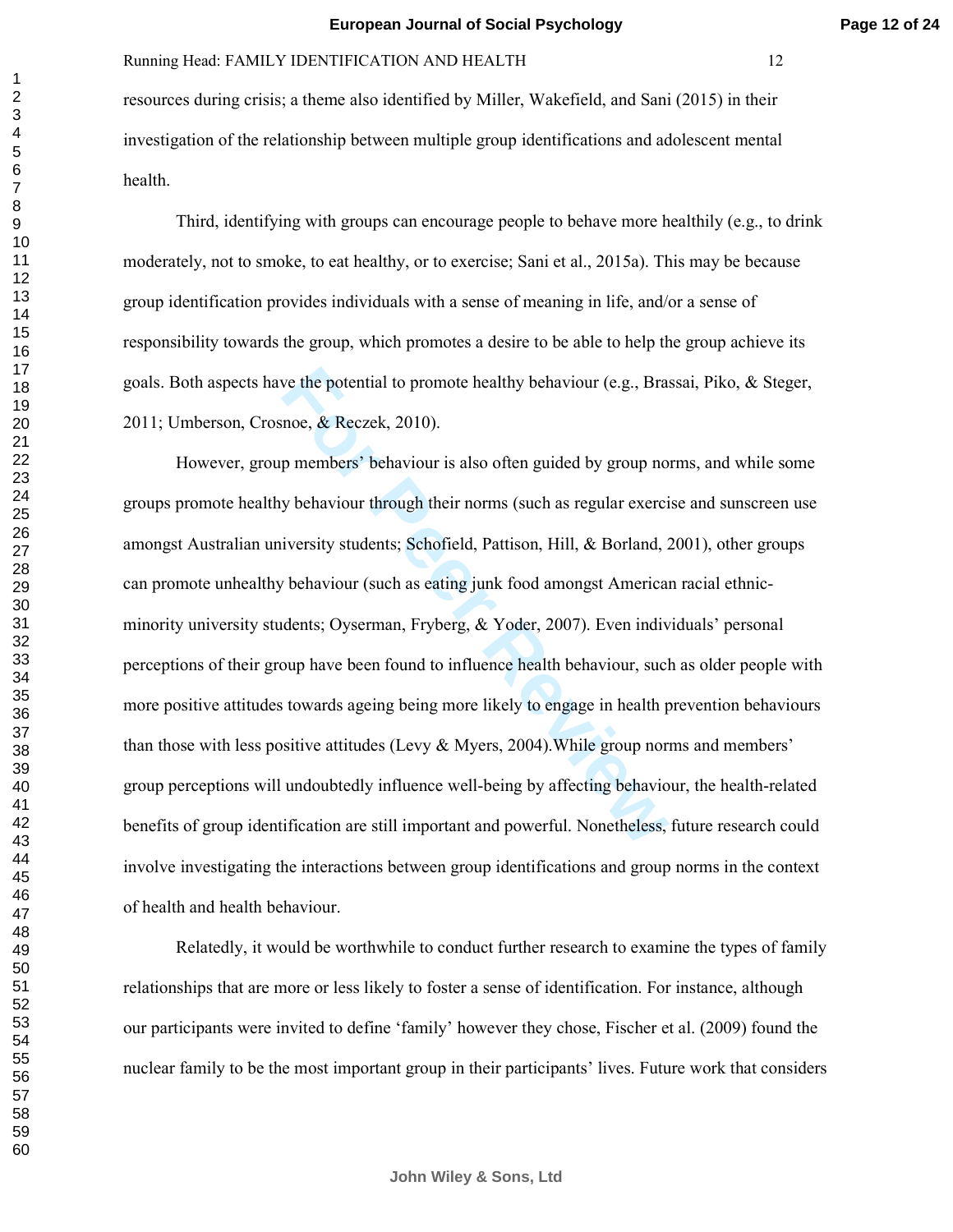resources during crisis; a theme also identified by Miller, Wakefield, and Sani (2015) in their investigation of the relationship between multiple group identifications and adolescent mental health.

Third, identifying with groups can encourage people to behave more healthily (e.g., to drink moderately, not to smoke, to eat healthy, or to exercise; Sani et al., 2015a). This may be because group identification provides individuals with a sense of meaning in life, and/or a sense of responsibility towards the group, which promotes a desire to be able to help the group achieve its goals. Both aspects have the potential to promote healthy behaviour (e.g., Brassai, Piko, & Steger, 2011; Umberson, Crosnoe, & Reczek, 2010).

**Formular Exercise II** to promote healthy behaviour (e.g., Brancheology, and the prembers' behaviour is also often guided by group no y behaviour through their norms (such as regular exercitiversity students; Schofield, Pa However, group members' behaviour is also often guided by group norms, and while some groups promote healthy behaviour through their norms (such as regular exercise and sunscreen use amongst Australian university students; Schofield, Pattison, Hill, & Borland, 2001), other groups can promote unhealthy behaviour (such as eating junk food amongst American racial ethnicminority university students; Oyserman, Fryberg, & Yoder, 2007). Even individuals' personal perceptions of their group have been found to influence health behaviour, such as older people with more positive attitudes towards ageing being more likely to engage in health prevention behaviours than those with less positive attitudes (Levy  $&$  Myers, 2004). While group norms and members' group perceptions will undoubtedly influence well-being by affecting behaviour, the health-related benefits of group identification are still important and powerful. Nonetheless, future research could involve investigating the interactions between group identifications and group norms in the context of health and health behaviour.

Relatedly, it would be worthwhile to conduct further research to examine the types of family relationships that are more or less likely to foster a sense of identification. For instance, although our participants were invited to define 'family' however they chose, Fischer et al. (2009) found the nuclear family to be the most important group in their participants' lives. Future work that considers

 $\mathbf{1}$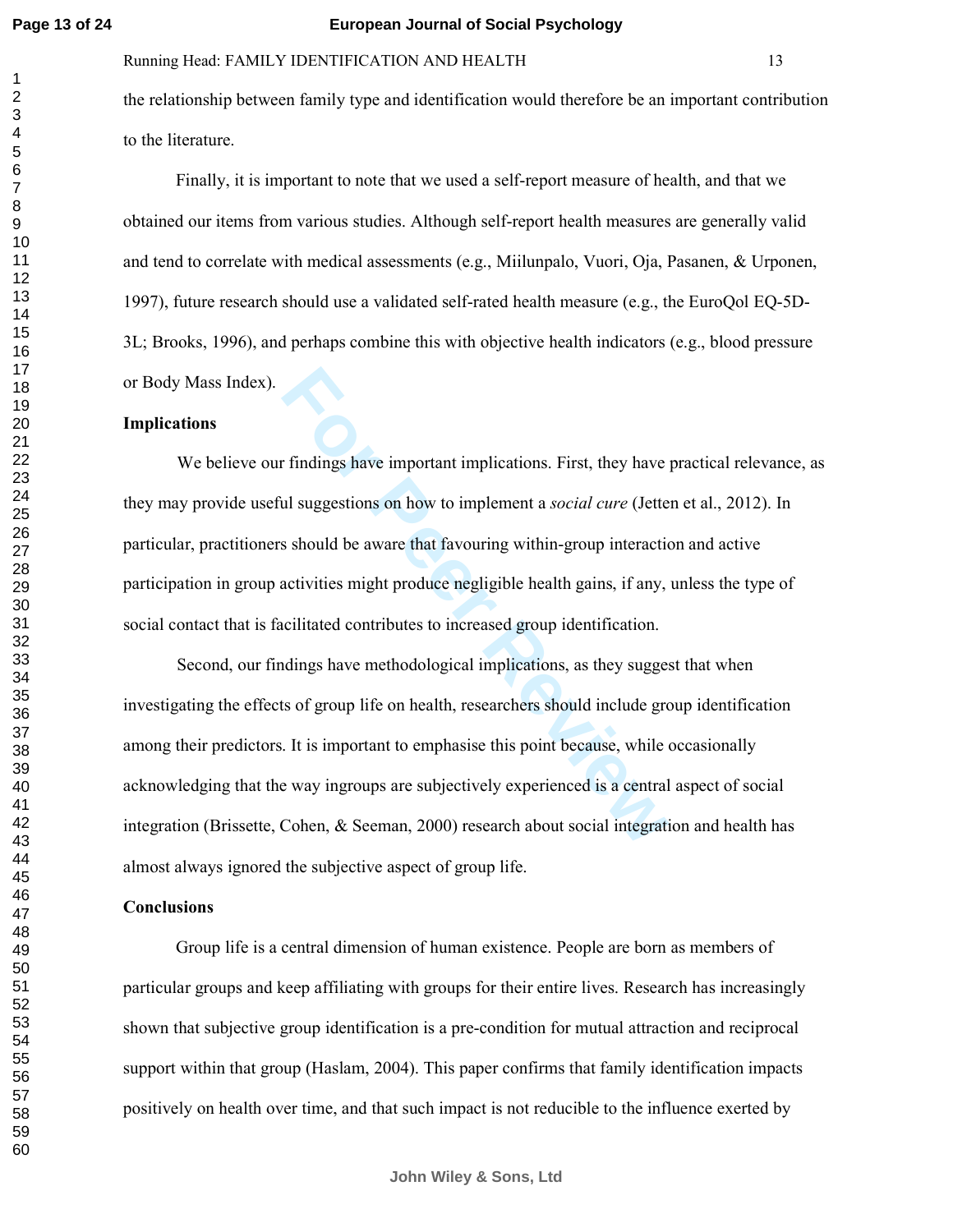#### Running Head: FAMILY IDENTIFICATION AND HEALTH 13

the relationship between family type and identification would therefore be an important contribution to the literature.

Finally, it is important to note that we used a self-report measure of health, and that we obtained our items from various studies. Although self-report health measures are generally valid and tend to correlate with medical assessments (e.g., Miilunpalo, Vuori, Oja, Pasanen, & Urponen, 1997), future research should use a validated self-rated health measure (e.g., the EuroQol EQ-5D-3L; Brooks, 1996), and perhaps combine this with objective health indicators (e.g., blood pressure or Body Mass Index).

#### **Implications**

We believe our findings have important implications. First, they have practical relevance, as they may provide useful suggestions on how to implement a *social cure* (Jetten et al., 2012). In particular, practitioners should be aware that favouring within-group interaction and active participation in group activities might produce negligible health gains, if any, unless the type of social contact that is facilitated contributes to increased group identification.

**Follow Exercise Set Theoryton Control**<br> **Follow System Set Theoryton Constrainer Set Should be aware that favouring within-group interactively should be aware that favouring within-group interactively activities might pro** Second, our findings have methodological implications, as they suggest that when investigating the effects of group life on health, researchers should include group identification among their predictors. It is important to emphasise this point because, while occasionally acknowledging that the way ingroups are subjectively experienced is a central aspect of social integration (Brissette, Cohen, & Seeman, 2000) research about social integration and health has almost always ignored the subjective aspect of group life.

# **Conclusions**

Group life is a central dimension of human existence. People are born as members of particular groups and keep affiliating with groups for their entire lives. Research has increasingly shown that subjective group identification is a pre-condition for mutual attraction and reciprocal support within that group (Haslam, 2004). This paper confirms that family identification impacts positively on health over time, and that such impact is not reducible to the influence exerted by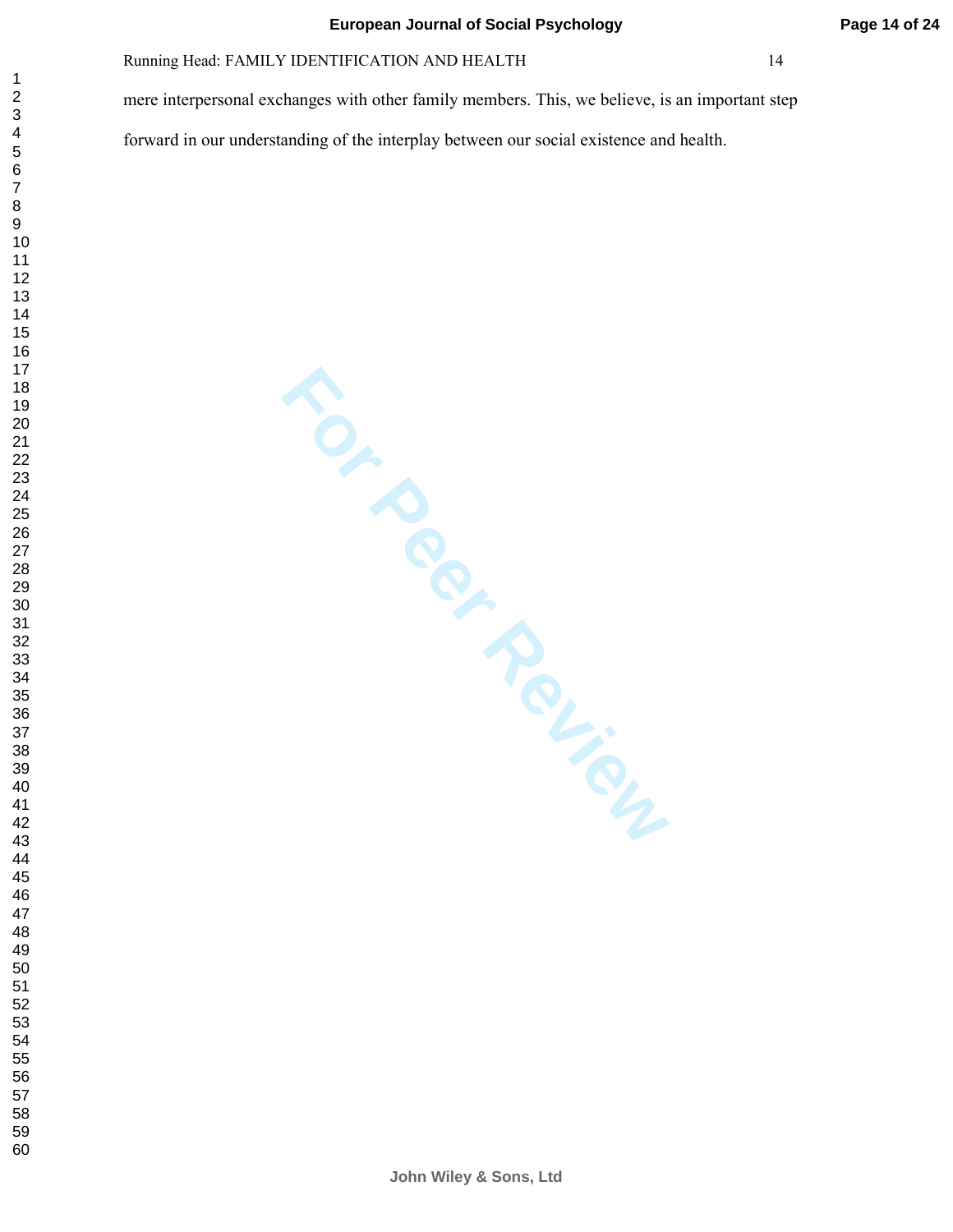mere interpersonal exchanges with other family members. This, we believe, is an important step

forward in our understanding of the interplay between our social existence and health.

 $\mathbf{1}$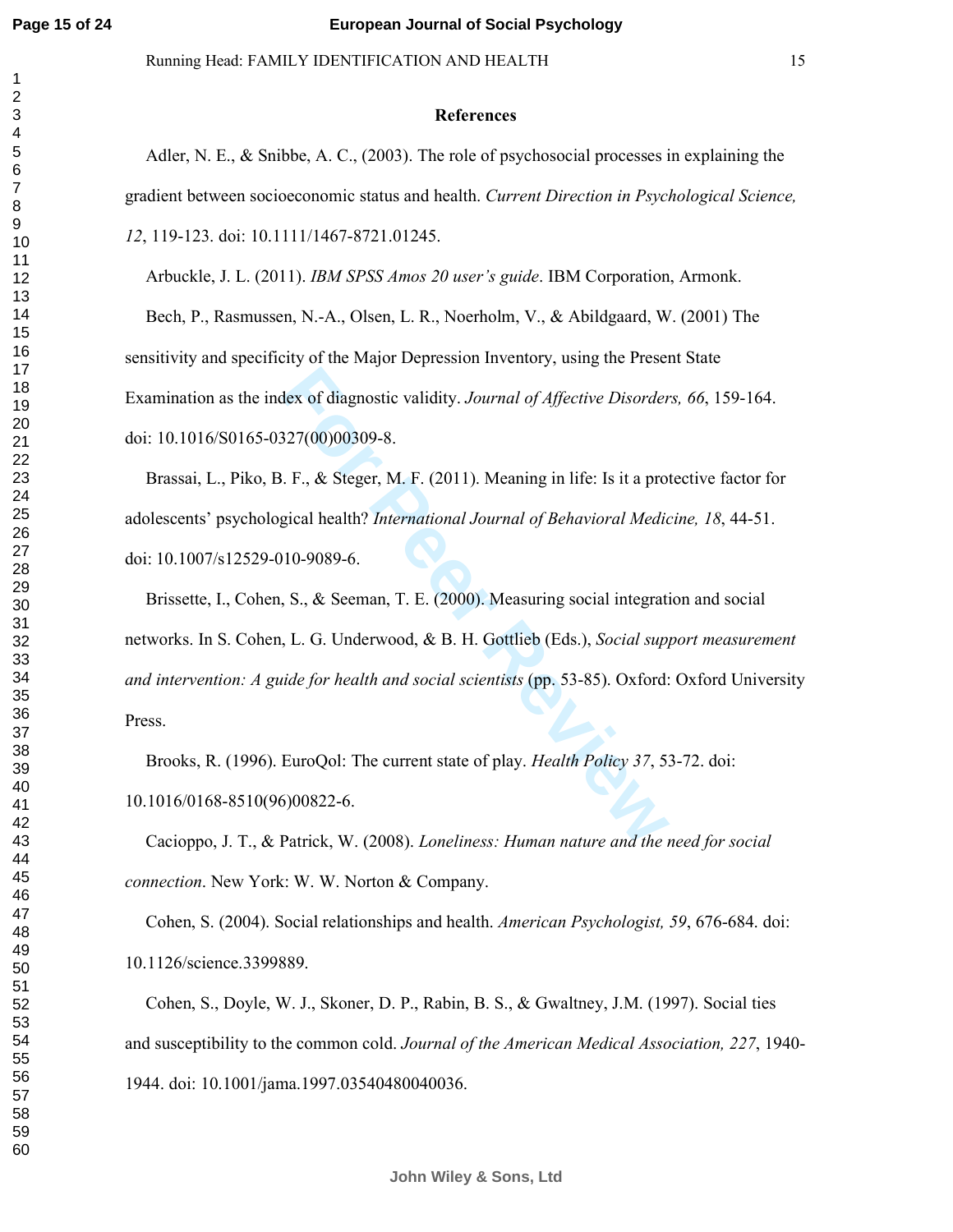$\mathbf{1}$ 

# Running Head: FAMILY IDENTIFICATION AND HEALTH 15

#### **References**

Adler, N. E., & Snibbe, A. C., (2003). The role of psychosocial processes in explaining the gradient between socioeconomic status and health. *Current Direction in Psychological Science,*  , 119-123. doi: 10.1111/1467-8721.01245.

Arbuckle, J. L. (2011). *IBM SPSS Amos 20 user's guide*. IBM Corporation, Armonk.

Bech, P., Rasmussen, N.-A., Olsen, L. R., Noerholm, V., & Abildgaard, W. (2001) The sensitivity and specificity of the Major Depression Inventory, using the Present State Examination as the index of diagnostic validity. *Journal of Affective Disorders, 66*, 159-164. doi: 10.1016/S0165-0327(00)00309-8.

 Brassai, L., Piko, B. F., & Steger, M. F. (2011). Meaning in life: Is it a protective factor for adolescents' psychological health? *International Journal of Behavioral Medicine, 18*, 44-51. doi: 10.1007/s12529-010-9089-6.

dex of diagnostic validity. Journal of Affective Disorder<br> **For Accelent S27(00)00309-8.**<br>
F., & Steger, M. F. (2011). Meaning in life: Is it a protagical health? International Journal of Behavioral Medic<br>
10-9089-6.<br>
S., Brissette, I., Cohen, S., & Seeman, T. E. (2000). Measuring social integration and social networks. In S. Cohen, L. G. Underwood, & B. H. Gottlieb (Eds.), *Social support measurement and intervention: A guide for health and social scientists* (pp. 53-85). Oxford: Oxford University Press.

Brooks, R. (1996). EuroQol: The current state of play. *Health Policy 37*, 53-72. doi: 10.1016/0168-8510(96)00822-6.

Cacioppo, J. T., & Patrick, W. (2008). *Loneliness: Human nature and the need for social connection*. New York: W. W. Norton & Company.

Cohen, S. (2004). Social relationships and health. *American Psychologist, 59*, 676-684. doi: 10.1126/science.3399889.

Cohen, S., Doyle, W. J., Skoner, D. P., Rabin, B. S., & Gwaltney, J.M. (1997). Social ties and susceptibility to the common cold. *Journal of the American Medical Association, 227*, 1940- 1944. doi: 10.1001/jama.1997.03540480040036.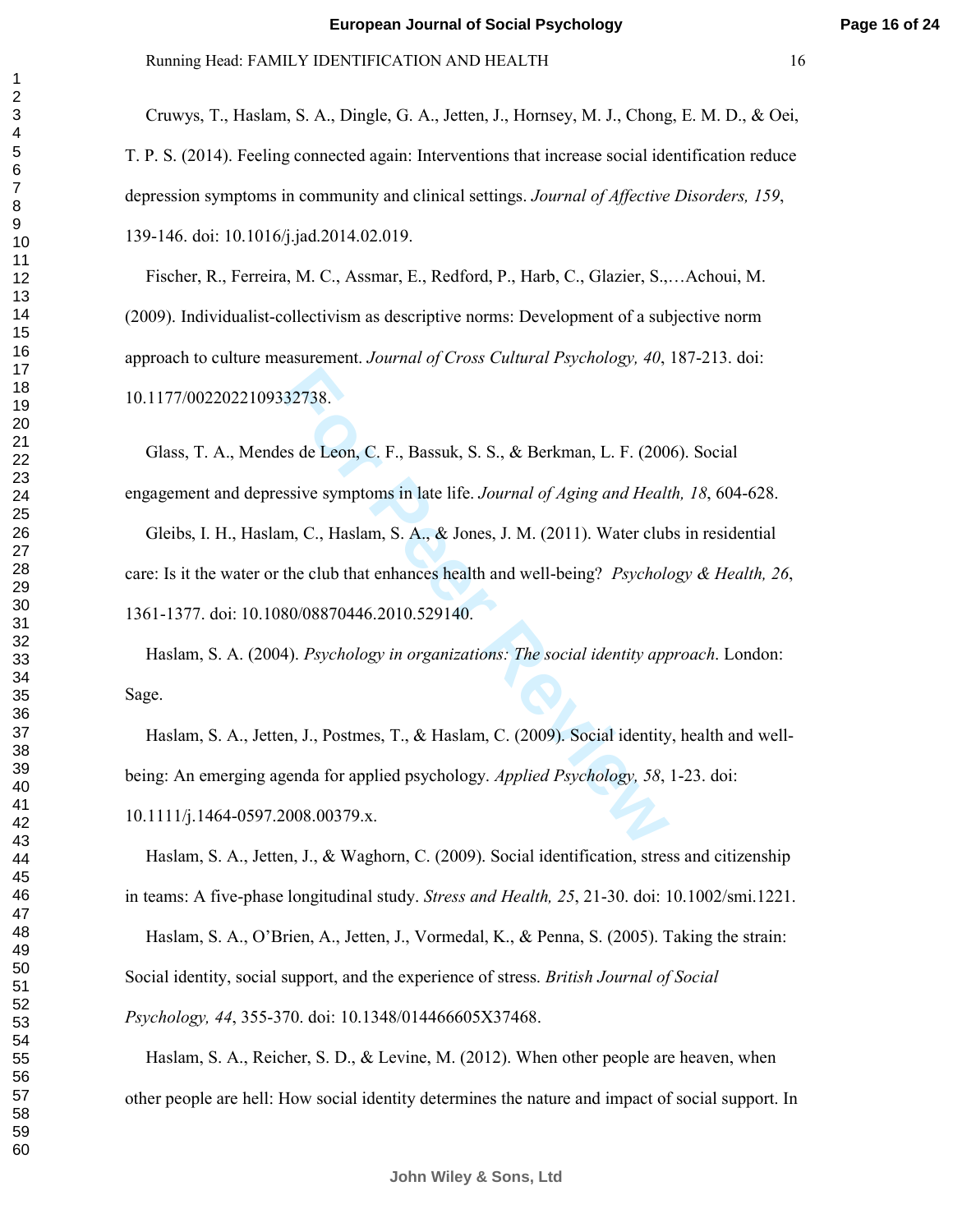**Page 16 of 24**

Cruwys, T., Haslam, S. A., Dingle, G. A., Jetten, J., Hornsey, M. J., Chong, E. M. D., & Oei, T. P. S. (2014). Feeling connected again: Interventions that increase social identification reduce depression symptoms in community and clinical settings. *Journal of Affective Disorders, 159*, 139-146. doi: 10.1016/j.jad.2014.02.019.

Fischer, R., Ferreira, M. C., Assmar, E., Redford, P., Harb, C., Glazier, S.,…Achoui, M. (2009). Individualist-collectivism as descriptive norms: Development of a subjective norm approach to culture measurement. *Journal of Cross Cultural Psychology, 40*, 187-213. doi: 10.1177/0022022109332738.

132738.<br>
For Peer Review, S. S., & Berkman, L. F. (200<br>
For Peer Review symptoms in late life. *Journal of Aging and Healt*<br>
Im, C., Haslam, S. A., & Jones, J. M. (2011). Water club<br>
the club that enhances health and well-Glass, T. A., Mendes de Leon, C. F., Bassuk, S. S., & Berkman, L. F. (2006). Social engagement and depressive symptoms in late life. *Journal of Aging and Health, 18*, 604-628. Gleibs, I. H., Haslam, C., Haslam, S. A., & Jones, J. M. (2011). Water clubs in residential care: Is it the water or the club that enhances health and well-being? *Psychology & Health, 26*, 1361-1377. doi: 10.1080/08870446.2010.529140.

Haslam, S. A. (2004). *Psychology in organizations: The social identity approach*. London: Sage.

Haslam, S. A., Jetten, J., Postmes, T., & Haslam, C. (2009). Social identity, health and wellbeing: An emerging agenda for applied psychology. *Applied Psychology, 58*, 1-23. doi: 10.1111/j.1464-0597.2008.00379.x.

Haslam, S. A., Jetten, J., & Waghorn, C. (2009). Social identification, stress and citizenship in teams: A five-phase longitudinal study. *Stress and Health, 25*, 21-30. doi: 10.1002/smi.1221.

Haslam, S. A., O'Brien, A., Jetten, J., Vormedal, K., & Penna, S. (2005). Taking the strain: Social identity, social support, and the experience of stress. *British Journal of Social Psychology, 44*, 355-370. doi: 10.1348/014466605X37468.

Haslam, S. A., Reicher, S. D., & Levine, M. (2012). When other people are heaven, when other people are hell: How social identity determines the nature and impact of social support. In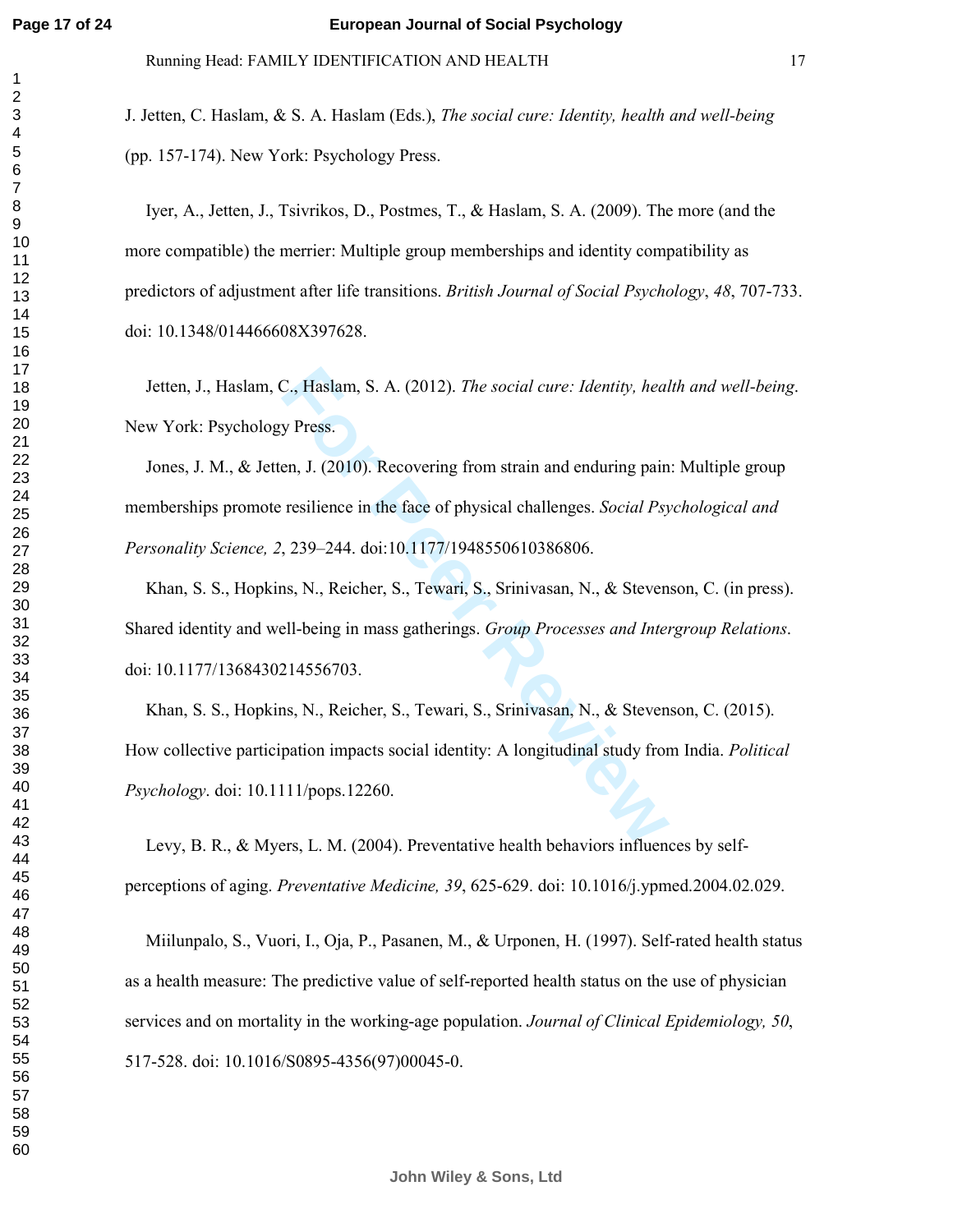J. Jetten, C. Haslam, & S. A. Haslam (Eds.), *The social cure: Identity, health and well-being* (pp. 157-174). New York: Psychology Press.

Iyer, A., Jetten, J., Tsivrikos, D., Postmes, T., & Haslam, S. A. (2009). The more (and the more compatible) the merrier: Multiple group memberships and identity compatibility as predictors of adjustment after life transitions. *British Journal of Social Psychology* , *48*, 707-733. doi: 10.1348/014466608X397628.

Jetten, J., Haslam, C., Haslam, S. A. (2012). *The social cure: Identity, health and well-being*. New York: Psychology Press.

C., Haslam, S. A. (2012). *The social cure: Identity, heal*<br>y Press.<br>en, J. (2010). Recovering from strain and enduring pain<br>resilience in the face of physical challenges. *Social Ps*<br>9, 239–244. doi:10.1177/19485506103868 Jones, J. M., & Jetten, J. (2010). Recovering from strain and enduring pain: Multiple group memberships promote resilience in the face of physical challenges. *Social Psychological and Personality Science, 2*, 239–244. doi:10.1177/1948550610386806.

Khan, S. S., Hopkins, N., Reicher, S., Tewari, S., Srinivasan, N., & Stevenson, C. (in press). Shared identity and well-being in mass gatherings. *Group Processes and Intergroup Relations* . doi: 10.1177/1368430214556703.

Khan, S. S., Hopkins, N., Reicher, S., Tewari, S., Srinivasan, N., & Stevenson, C. (2015). How collective participation impacts social identity: A longitudinal study from India. *Political Psychology*. doi: 10.1111/pops.12260.

Levy, B. R., & Myers, L. M. (2004). Preventative health behaviors influences by selfperceptions of aging. *Preventative Medicine, 39*, 625-629. doi: 10.1016/j.ypmed.2004.02.029.

Miilunpalo, S., Vuori, I., Oja, P., Pasanen, M., & Urponen, H. (1997). Self-rated health status as a health measure: The predictive value of self-reported health status on the use of physician services and on mortality in the working-age population. *Journal of Clinical Epidemiology, 50*, 517-528. doi: 10.1016/S0895-4356(97)00045-0.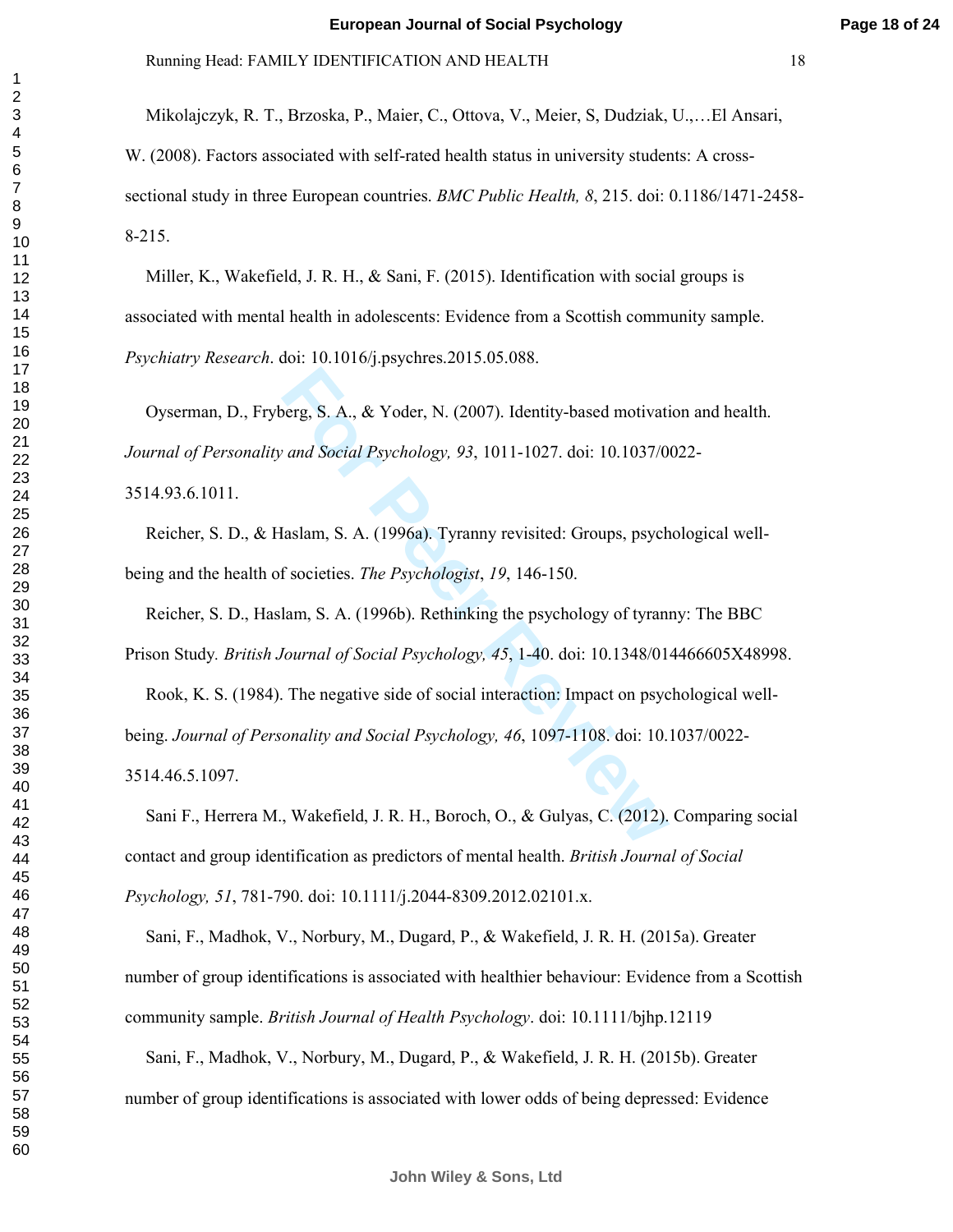Mikolajczyk, R. T., Brzoska, P., Maier, C., Ottova, V., Meier, S, Dudziak, U.,…El Ansari, W. (2008). Factors associated with self-rated health status in university students: A crosssectional study in three European countries. *BMC Public Health, 8*, 215. doi: 0.1186/1471-2458- 8-215.

Miller, K., Wakefield, J. R. H., & Sani, F. (2015). Identification with social groups is associated with mental health in adolescents: Evidence from a Scottish community sample. *Psychiatry Research*. doi: 10.1016/j.psychres.2015.05.088.

Oyserman, D., Fryberg, S. A., & Yoder, N. (2007). Identity-based motivation and health. *Journal of Personality and Social Psychology, 93*, 1011-1027. doi: 10.1037/0022- 3514.93.6.1011.

Reicher, S. D., & Haslam, S. A. (1996a). Tyranny revisited: Groups, psychological wellbeing and the health of societies. *The Psychologist*, *19*, 146-150.

berg, S. A., & Yoder, N. (2007). Identity-based motivation and Social Psychology, 93, 1011-1027. doi: 10.1037/0<br>
faslam, S. A. (1996a). Tyranny revisited: Groups, psychologism, S. A. (1996a). Tyranny revisited: Groups, psy Reicher, S. D., Haslam, S. A. (1996b). Rethinking the psychology of tyranny: The BBC Prison Study*. British Journal of Social Psychology, 45*, 1-40. doi: 10.1348/014466605X48998. Rook, K. S. (1984). The negative side of social interaction: Impact on psychological wellbeing. *Journal of Personality and Social Psychology, 46*, 1097-1108. doi: 10.1037/0022- 3514.46.5.1097.

Sani F., Herrera M., Wakefield, J. R. H., Boroch, O., & Gulyas, C. (2012). Comparing social contact and group identification as predictors of mental health. *British Journal of Social Psychology, 51*, 781-790. doi: 10.1111/j.2044-8309.2012.02101.x.

Sani, F., Madhok, V., Norbury, M., Dugard, P., & Wakefield, J. R. H. (2015a). Greater number of group identifications is associated with healthier behaviour: Evidence from a Scottish community sample. *British Journal of Health Psychology*. doi: 10.1111/bjhp.12119

Sani, F., Madhok, V., Norbury, M., Dugard, P., & Wakefield, J. R. H. (2015b). Greater number of group identifications is associated with lower odds of being depressed: Evidence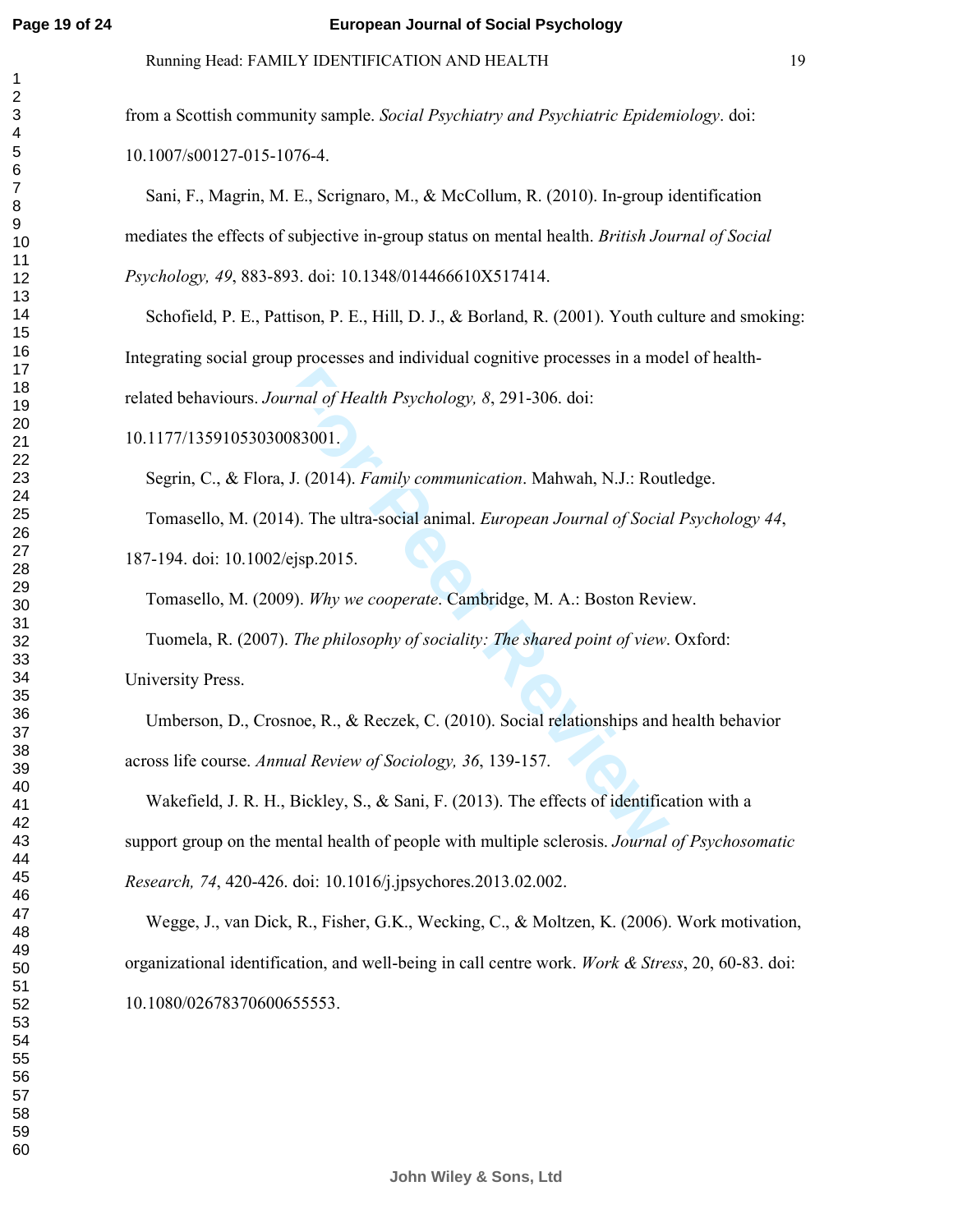$\mathbf{1}$  $\overline{2}$  Running Head: FAMILY IDENTIFICATION AND HEALTH 19

from a Scottish community sample. *Social Psychiatry and Psychiatric Epidemiology*. doi:

10.1007/s00127-015-1076-4.

Sani, F., Magrin, M. E., Scrignaro, M., & McCollum, R. (2010). In-group identification mediates the effects of subjective in-group status on mental health. *British Journal of Social Psychology, 49*, 883-893. doi: 10.1348/014466610X517414.

Schofield, P. E., Pattison, P. E., Hill, D. J., & Borland, R. (2001). Youth culture and smoking: Integrating social group processes and individual cognitive processes in a model of healthrelated behaviours. *Journal of Health Psychology, 8*, 291-306. doi:

10.1177/13591053030083001.

Formal of Health Psychology, 8, 291-306. doi:<br>
1983001.<br> **Formal System Contains**, 8, 291-306. doi:<br> **Formal System Peer Review**<br>
4). The ultra-social animal. *European Journal of Socia*<br> *Formal of Social*<br>
19). *Why we c* Segrin, C., & Flora, J. (2014). *Family communication*. Mahwah, N.J.: Routledge. Tomasello, M. (2014). The ultra-social animal. *European Journal of Social Psychology 44*, 187-194. doi: 10.1002/ejsp.2015.

Tomasello, M. (2009). *Why we cooperate*. Cambridge, M. A.: Boston Review.

Tuomela, R. (2007). *The philosophy of sociality: The shared point of view*. Oxford:

University Press.

Umberson, D., Crosnoe, R., & Reczek, C. (2010). Social relationships and health behavior across life course. *Annual Review of Sociology, 36*, 139-157.

Wakefield, J. R. H., Bickley, S., & Sani, F. (2013). The effects of identification with a support group on the mental health of people with multiple sclerosis. *Journal of Psychosomatic Research, 74*, 420-426. doi: 10.1016/j.jpsychores.2013.02.002.

Wegge, J., van Dick, R., Fisher, G.K., Wecking, C., & Moltzen, K. (2006). Work motivation, organizational identification, and well-being in call centre work. *Work & Stress*, 20, 60-83. doi: 10.1080/02678370600655553.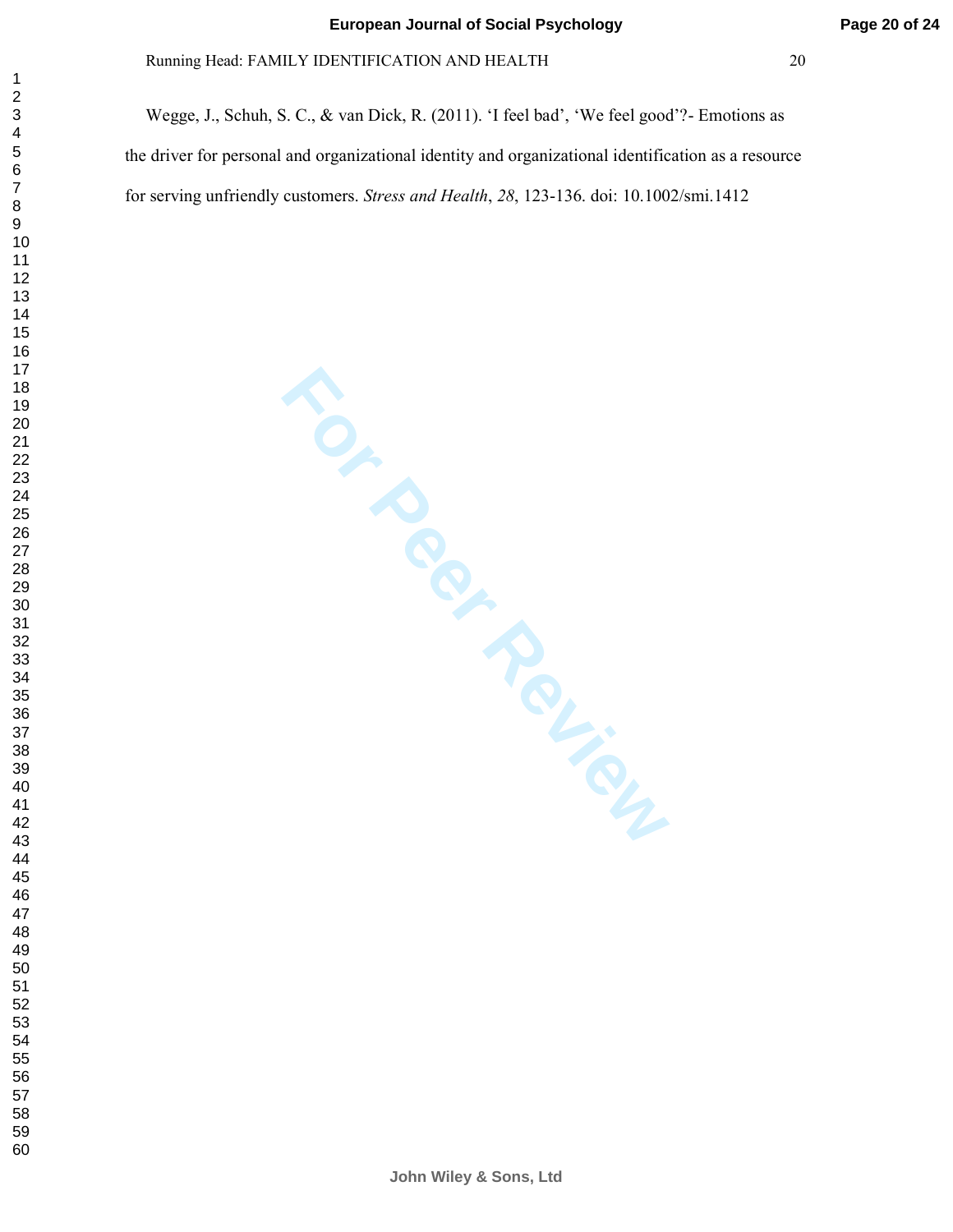Wegge, J., Schuh, S. C., & van Dick, R. (2011). 'I feel bad', 'We feel good'?- Emotions as the driver for personal and organizational identity and organizational identification as a resource for serving unfriendly customers. *Stress and Health* , *28*, 123-136. doi: 10.1002/smi.1412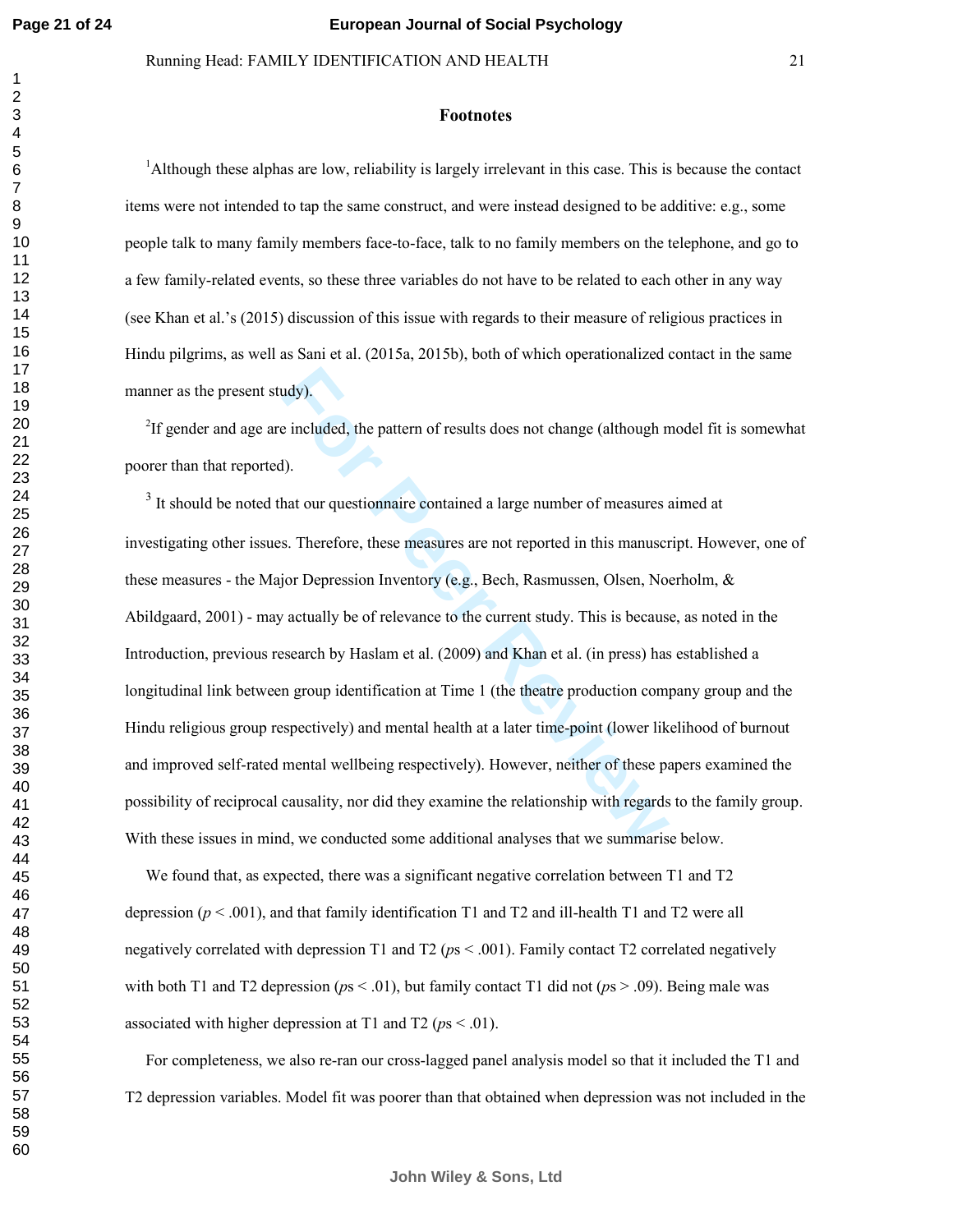#### **Footnotes**

Although these alphas are low, reliability is largely irrelevant in this case. This is because the contact items were not intended to tap the same construct, and were instead designed to be additive: e.g., some people talk to many family members face-to-face, talk to no family members on the telephone, and go to a few family-related events, so these three variables do not have to be related to each other in any way (see Khan et al.'s (2015) discussion of this issue with regards to their measure of religious practices in Hindu pilgrims, as well as Sani et al. (2015a, 2015b), both of which operationalized contact in the same manner as the present study).

<sup>2</sup>If gender and age are included, the pattern of results does not change (although model fit is somewhat poorer than that reported).

and the pattern of results does not change (although n<br> **Formulation** and the pattern of results does not change (although n<br> **For Peer Execution A** a large number of measures as<br> **For Peer Review Executes** are not reporte <sup>3</sup> It should be noted that our questionnaire contained a large number of measures aimed at investigating other issues. Therefore, these measures are not reported in this manuscript. However, one of these measures - the Major Depression Inventory (e.g., Bech, Rasmussen, Olsen, Noerholm, & Abildgaard, 2001) - may actually be of relevance to the current study. This is because, as noted in the Introduction, previous research by Haslam et al. (2009) and Khan et al. (in press) has established a longitudinal link between group identification at Time 1 (the theatre production company group and the Hindu religious group respectively) and mental health at a later time-point (lower likelihood of burnout and improved self-rated mental wellbeing respectively). However, neither of these papers examined the possibility of reciprocal causality, nor did they examine the relationship with regards to the family group. With these issues in mind, we conducted some additional analyses that we summarise below.

We found that, as expected, there was a significant negative correlation between T1 and T2 depression  $(p < .001)$ , and that family identification T1 and T2 and ill-health T1 and T2 were all negatively correlated with depression T1 and T2 (*p*s < .001). Family contact T2 correlated negatively with both T1 and T2 depression ( $ps < .01$ ), but family contact T1 did not ( $ps > .09$ ). Being male was associated with higher depression at T1 and T2 ( $ps < .01$ ).

For completeness, we also re-ran our cross-lagged panel analysis model so that it included the T1 and T2 depression variables. Model fit was poorer than that obtained when depression was not included in the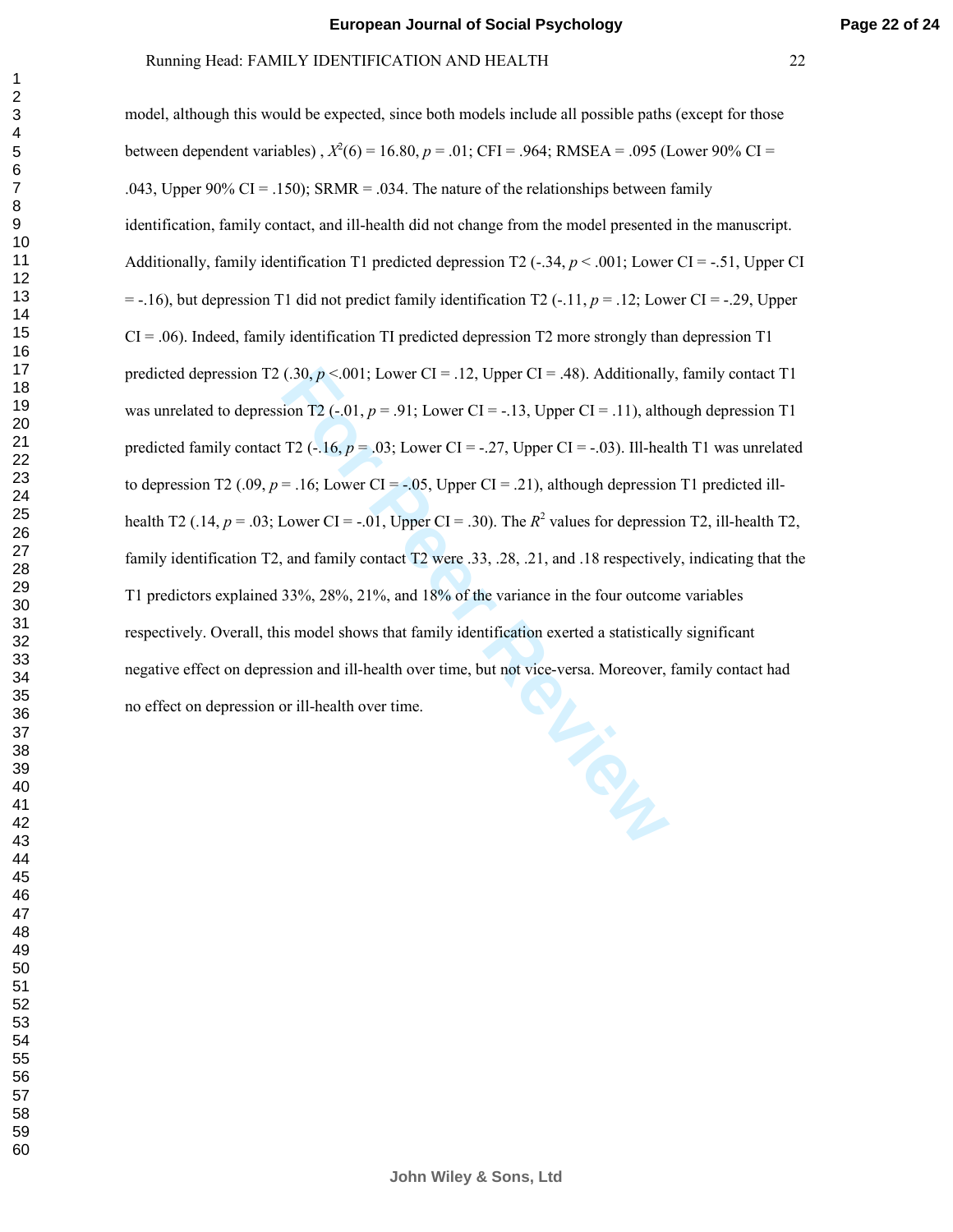## Running Head: FAMILY IDENTIFICATION AND HEALTH 22

model, although this would be expected, since both models include all possible paths (except for those between dependent variables),  $X^2(6) = 16.80$ ,  $p = .01$ ; CFI = .964; RMSEA = .095 (Lower 90% CI = .043, Upper 90% CI = .150); SRMR = .034. The nature of the relationships between family identification, family contact, and ill-health did not change from the model presented in the manuscript. Additionally, family identification T1 predicted depression T2 (-.34,  $p < .001$ ; Lower CI = -.51, Upper CI  $= -16$ ), but depression T1 did not predict family identification T2  $(-11, p = 0.12)$ ; Lower CI = -.29, Upper  $CI = .06$ ). Indeed, family identification TI predicted depression T2 more strongly than depression T1 predicted depression T2 (.30,  $p < 001$ ; Lower CI = .12, Upper CI = .48). Additionally, family contact T1 was unrelated to depression T2  $(-.01, p = .91)$ ; Lower CI = -.13, Upper CI = .11), although depression T1 predicted family contact T2  $(-.16, p = .03)$ ; Lower CI =  $-.27$ , Upper CI =  $-.03$ ). Ill-health T1 was unrelated to depression T2 (.09,  $p = .16$ ; Lower CI = -.05, Upper CI = .21), although depression T1 predicted illhealth T2 (.14,  $p = .03$ ; Lower CI = -.01, Upper CI = .30). The  $R^2$  values for depression T2, ill-health T2, family identification T2, and family contact T2 were .33, .28, .21, and .18 respectively, indicating that the T1 predictors explained 33%, 28%, 21%, and 18% of the variance in the four outcome variables respectively. Overall, this model shows that family identification exerted a statistically significant negative effect on depression and ill-health over time, but not vice-versa. Moreover, family contact had no effect on depression or ill-health over time.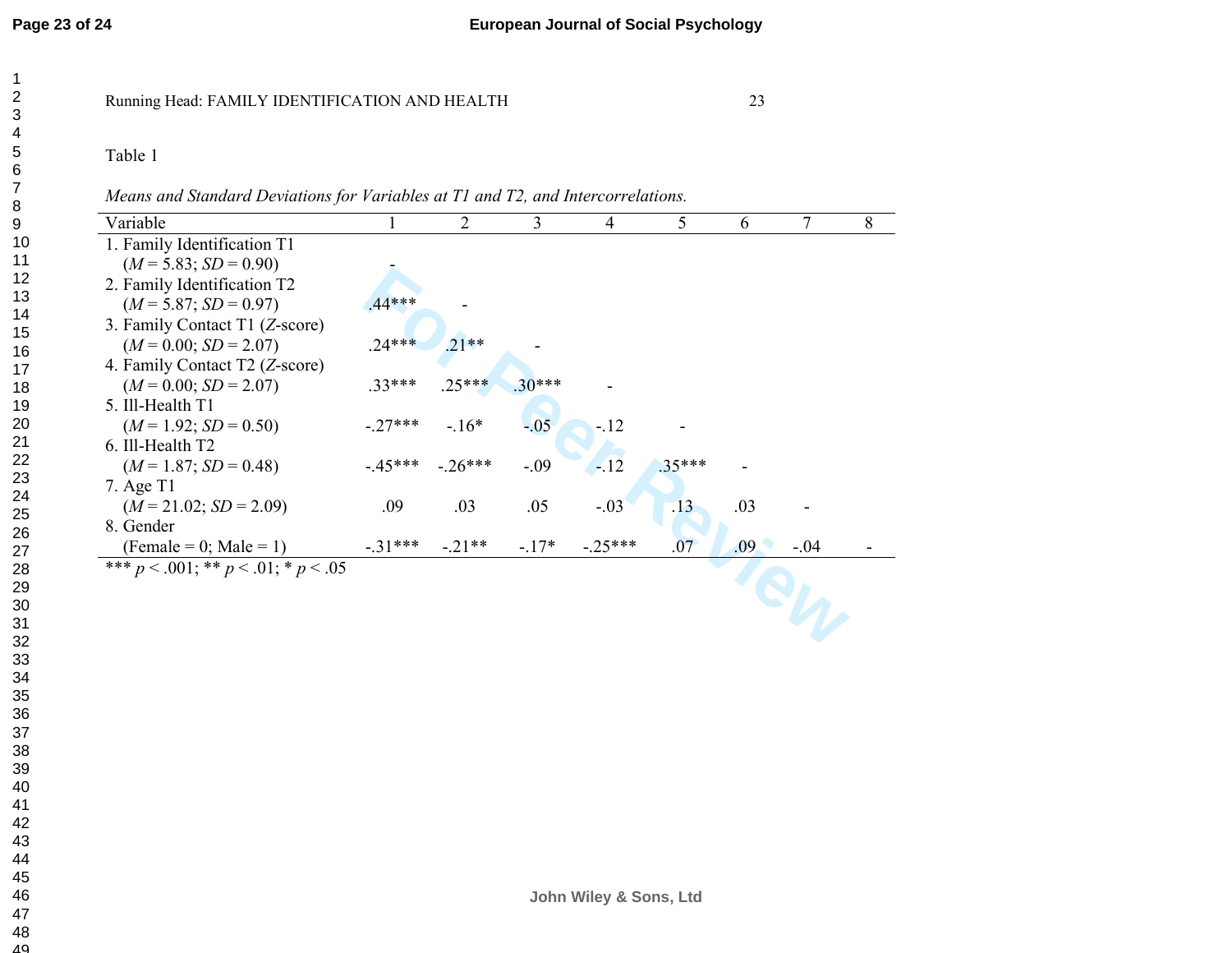Table 1

*Means and Standard Deviations for Variables at T1 and T2, and Intercorrelations.*

| Variable                                    |          | 2                 | 3        | 4         | 5        | 6                | 7      | 8 |  |
|---------------------------------------------|----------|-------------------|----------|-----------|----------|------------------|--------|---|--|
| 1. Family Identification T1                 |          |                   |          |           |          |                  |        |   |  |
| $(M = 5.83; SD = 0.90)$                     |          |                   |          |           |          |                  |        |   |  |
| 2. Family Identification T2                 |          |                   |          |           |          |                  |        |   |  |
| $(M = 5.87; SD = 0.97)$                     | 44 ***   |                   |          |           |          |                  |        |   |  |
| 3. Family Contact T1 (Z-score)              |          |                   |          |           |          |                  |        |   |  |
| $(M = 0.00; SD = 2.07)$                     | $.24***$ | $21**$            |          |           |          |                  |        |   |  |
| 4. Family Contact T2 (Z-score)              |          |                   |          |           |          |                  |        |   |  |
| $(M = 0.00; SD = 2.07)$                     | 33***    | $.25***$          | $.30***$ |           |          |                  |        |   |  |
| 5. Ill-Health T1                            |          |                   |          |           |          |                  |        |   |  |
| $(M=1.92; SD=0.50)$                         | $-27***$ | $-16*$            | $-0.05$  | $-12$     |          |                  |        |   |  |
| 6. Ill-Health T2                            |          |                   |          |           |          |                  |        |   |  |
| $(M=1.87; SD=0.48)$                         |          | $-45***$ $-26***$ | $-.09$   | $-12$     | $.35***$ |                  |        |   |  |
| $7.$ Age T1                                 |          |                   |          |           |          |                  |        |   |  |
| $(M = 21.02; SD = 2.09)$                    | .09      | .03               | .05      | $-.03$    | .13      | .03              |        |   |  |
| 8. Gender                                   |          |                   |          |           |          |                  |        |   |  |
| (Female = 0; Male = 1)                      | $-31***$ | $-21**$           | $-17*$   | $-.25***$ | .07      | .09 <sub>1</sub> | $-.04$ |   |  |
| *** $p < .001$ ; ** $p < .01$ ; * $p < .05$ |          |                   |          |           |          |                  |        |   |  |
|                                             |          |                   |          |           |          |                  |        |   |  |
|                                             |          |                   |          |           |          |                  |        |   |  |
|                                             |          |                   |          |           |          |                  |        |   |  |

49